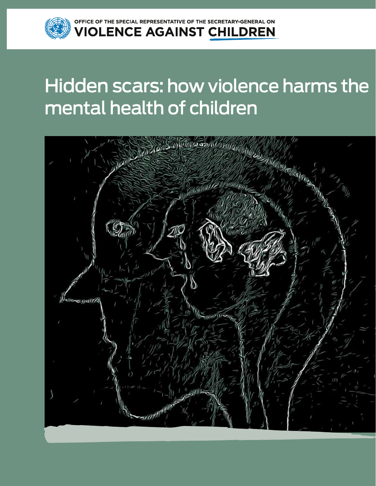

SPECIAL REPRESENTATIVE OF THE SECRETARY-GENERAL ON **OLENCE AGAINST CHILDREN** 

# Hidden scars: how violence harms the mental health of children

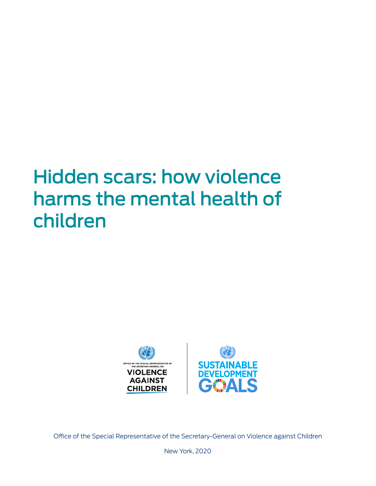# Hidden scars: how violence harms the mental health of children



Office of the Special Representative of the Secretary-General on Violence against Children

New York, 2020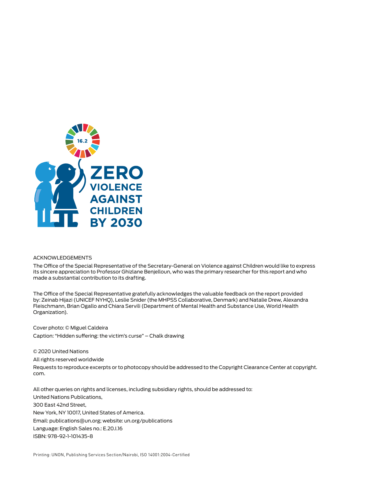

#### ACKNOWLEDGEMENTS

The Office of the Special Representative of the Secretary-General on Violence against Children would like to express its sincere appreciation to Professor Ghizlane Benjelloun, who was the primary researcher for this report and who made a substantial contribution to its drafting.

The Office of the Special Representative gratefully acknowledges the valuable feedback on the report provided by: Zeinab Hijazi (UNICEF NYHQ), Leslie Snider (the MHPSS Collaborative, Denmark) and Natalie Drew, Alexandra Fleischmann, Brian Ogallo and Chiara Servili (Department of Mental Health and Substance Use, World Health Organization).

Cover photo: © Miguel Caldeira Caption: "Hidden suffering: the victim's curse" – Chalk drawing

© 2020 United Nations

All rights reserved worldwide

Requests to reproduce excerpts or to photocopy should be addressed to the Copyright Clearance Center at copyright. com.

All other queries on rights and licenses, including subsidiary rights, should be addressed to: United Nations Publications, 300 East 42nd Street, New York, NY 10017, United States of America. Email: publications@un.org; website: un.org/publications Language: English Sales no.: E.20.I.16 ISBN: 978-92-1-101435-8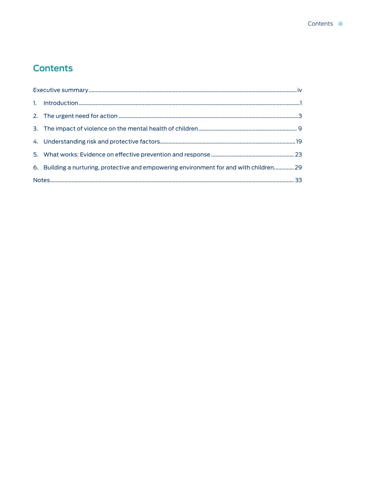# Contents iii

# **Contents**

|  | 6. Building a nurturing, protective and empowering environment for and with children 29 |  |  |
|--|-----------------------------------------------------------------------------------------|--|--|
|  |                                                                                         |  |  |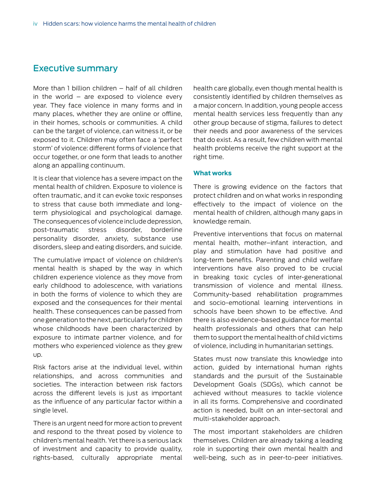# Executive summary

More than 1 billion children – half of all children in the world  $-$  are exposed to violence every year. They face violence in many forms and in many places, whether they are online or offline, in their homes, schools or communities. A child can be the target of violence, can witness it, or be exposed to it. Children may often face a 'perfect storm' of violence: different forms of violence that occur together, or one form that leads to another along an appalling continuum.

It is clear that violence has a severe impact on the mental health of children. Exposure to violence is often traumatic, and it can evoke toxic responses to stress that cause both immediate and longterm physiological and psychological damage. The consequences of violence include depression, post-traumatic stress disorder, borderline personality disorder, anxiety, substance use disorders, sleep and eating disorders, and suicide.

The cumulative impact of violence on children's mental health is shaped by the way in which children experience violence as they move from early childhood to adolescence, with variations in both the forms of violence to which they are exposed and the consequences for their mental health. These consequences can be passed from one generation to the next, particularly for children whose childhoods have been characterized by exposure to intimate partner violence, and for mothers who experienced violence as they grew up.

Risk factors arise at the individual level, within relationships, and across communities and societies. The interaction between risk factors across the different levels is just as important as the influence of any particular factor within a single level.

There is an urgent need for more action to prevent and respond to the threat posed by violence to children's mental health. Yet there is a serious lack of investment and capacity to provide quality, rights-based, culturally appropriate mental

health care globally, even though mental health is consistently identified by children themselves as a major concern. In addition, young people access mental health services less frequently than any other group because of stigma, failures to detect their needs and poor awareness of the services that do exist. As a result, few children with mental health problems receive the right support at the right time.

#### **What works**

There is growing evidence on the factors that protect children and on what works in responding effectively to the impact of violence on the mental health of children, although many gaps in knowledge remain.

Preventive interventions that focus on maternal mental health, mother–infant interaction, and play and stimulation have had positive and long-term benefits. Parenting and child welfare interventions have also proved to be crucial in breaking toxic cycles of inter-generational transmission of violence and mental illness. Community-based rehabilitation programmes and socio-emotional learning interventions in schools have been shown to be effective. And there is also evidence-based guidance for mental health professionals and others that can help them to support the mental health of child victims of violence, including in humanitarian settings.

States must now translate this knowledge into action, guided by international human rights standards and the pursuit of the Sustainable Development Goals (SDGs), which cannot be achieved without measures to tackle violence in all its forms. Comprehensive and coordinated action is needed, built on an inter-sectoral and multi-stakeholder approach.

The most important stakeholders are children themselves. Children are already taking a leading role in supporting their own mental health and well-being, such as in peer-to-peer initiatives.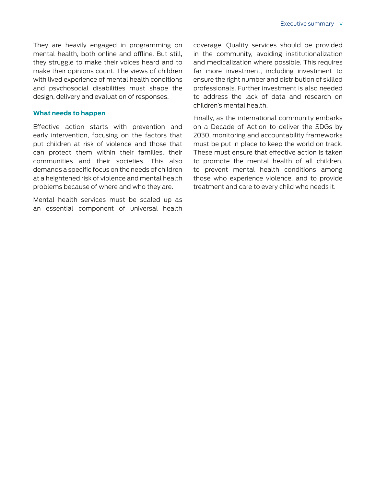They are heavily engaged in programming on mental health, both online and offline. But still, they struggle to make their voices heard and to make their opinions count. The views of children with lived experience of mental health conditions and psychosocial disabilities must shape the design, delivery and evaluation of responses.

### **What needs to happen**

Effective action starts with prevention and early intervention, focusing on the factors that put children at risk of violence and those that can protect them within their families, their communities and their societies. This also demands a specific focus on the needs of children at a heightened risk of violence and mental health problems because of where and who they are.

Mental health services must be scaled up as an essential component of universal health coverage. Quality services should be provided in the community, avoiding institutionalization and medicalization where possible. This requires far more investment, including investment to ensure the right number and distribution of skilled professionals. Further investment is also needed to address the lack of data and research on children's mental health.

Finally, as the international community embarks on a Decade of Action to deliver the SDGs by 2030, monitoring and accountability frameworks must be put in place to keep the world on track. These must ensure that effective action is taken to promote the mental health of all children, to prevent mental health conditions among those who experience violence, and to provide treatment and care to every child who needs it.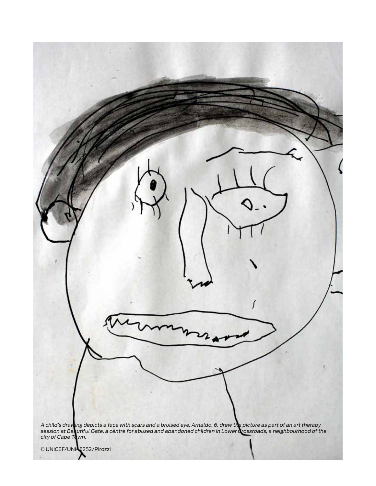

© UNICEF/UNI45252/Pirozzi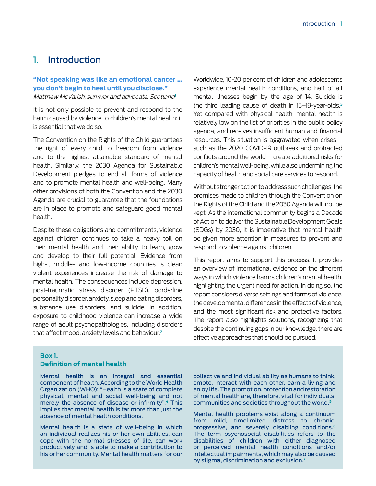# 1. Introduction

# **"Not speaking was like an emotional cancer … you don't begin to heal until you disclose."** Matthew McVarish, survivor and advocate, Scotland**<sup>1</sup>**

It is not only possible to prevent and respond to the harm caused by violence to children's mental health: it is essential that we do so.

The Convention on the Rights of the Child guarantees the right of every child to freedom from violence and to the highest attainable standard of mental health. Similarly, the 2030 Agenda for Sustainable Development pledges to end all forms of violence and to promote mental health and well-being. Many other provisions of both the Convention and the 2030 Agenda are crucial to guarantee that the foundations are in place to promote and safeguard good mental health.

Despite these obligations and commitments, violence against children continues to take a heavy toll on their mental health and their ability to learn, grow and develop to their full potential. Evidence from high-, middle- and low-income countries is clear: violent experiences increase the risk of damage to mental health. The consequences include depression, post-traumatic stress disorder (PTSD), borderline personality disorder, anxiety, sleep and eating disorders, substance use disorders, and suicide. In addition, exposure to childhood violence can increase a wide range of adult psychopathologies, including disorders that affect mood, anxiety levels and behaviour.**<sup>2</sup>**

Worldwide, 10-20 per cent of children and adolescents experience mental health conditions, and half of all mental illnesses begin by the age of 14. Suicide is the third leading cause of death in 15–19-year-olds.**<sup>3</sup>** Yet compared with physical health, mental health is relatively low on the list of priorities in the public policy agenda, and receives insufficient human and financial resources. This situation is aggravated when crises – such as the 2020 COVID-19 outbreak and protracted conflicts around the world – create additional risks for children's mental well-being, while also undermining the capacity of health and social care services to respond.

Without stronger action to address such challenges, the promises made to children through the Convention on the Rights of the Child and the 2030 Agenda will not be kept. As the international community begins a Decade of Action to deliver the Sustainable Development Goals (SDGs) by 2030, it is imperative that mental health be given more attention in measures to prevent and respond to violence against children.

This report aims to support this process. It provides an overview of international evidence on the different ways in which violence harms children's mental health, highlighting the urgent need for action. In doing so, the report considers diverse settings and forms of violence, the developmental differences in the effects of violence, and the most significant risk and protective factors. The report also highlights solutions, recognizing that despite the continuing gaps in our knowledge, there are effective approaches that should be pursued.

# **Box 1.**

# **Definition of mental health**

Mental health is an integral and essential component of health. According to the World Health Organization (WHO): "Health is a state of complete physical, mental and social well-being and not merely the absence of disease or infirmity".**4** This implies that mental health is far more than just the absence of mental health conditions.

Mental health is a state of well-being in which an individual realizes his or her own abilities, can cope with the normal stresses of life, can work productively and is able to make a contribution to his or her community. Mental health matters for our

collective and individual ability as humans to think, emote, interact with each other, earn a living and enjoy life. The promotion, protection and restoration of mental health are, therefore, vital for individuals, communities and societies throughout the world.**<sup>5</sup>**

Mental health problems exist along a continuum from mild, timelimited distress to chronic, progressive, and severely disabling conditions.**<sup>6</sup>** The term psychosocial disabilities refers to the disabilities of children with either diagnosed or perceived mental health conditions and/or intellectual impairments, which may also be caused by stigma, discrimination and exclusion.**<sup>7</sup>**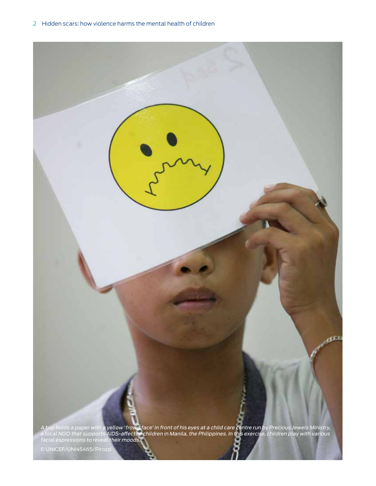

© UNICEF/UNI45465/Pirozzi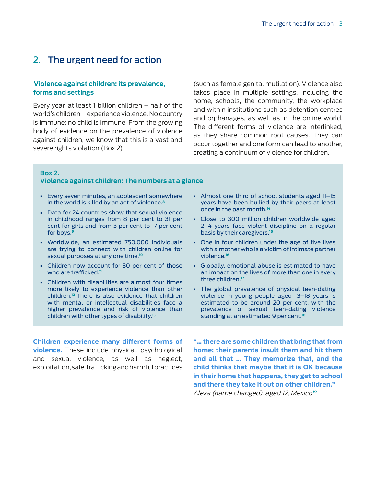# 2. The urgent need for action

# **Violence against children: its prevalence, forms and settings**

Every year, at least 1 billion children – half of the world's children – experience violence. No country is immune; no child is immune. From the growing body of evidence on the prevalence of violence against children, we know that this is a vast and severe rights violation (Box 2).

(such as female genital mutilation). Violence also takes place in multiple settings, including the home, schools, the community, the workplace and within institutions such as detention centres and orphanages, as well as in the online world. The different forms of violence are interlinked, as they share common root causes. They can occur together and one form can lead to another, creating a continuum of violence for children.

#### **Box 2.**

#### **Violence against children: The numbers at a glance**

- Every seven minutes, an adolescent somewhere in the world is killed by an act of violence.**<sup>8</sup>**
- Data for 24 countries show that sexual violence in childhood ranges from 8 per cent to 31 per cent for girls and from 3 per cent to 17 per cent for boys.**<sup>9</sup>**
- Worldwide, an estimated 750,000 individuals are trying to connect with children online for sexual purposes at any one time.**<sup>10</sup>**
- Children now account for 30 per cent of those who are trafficked.**<sup>11</sup>**
- Children with disabilities are almost four times more likely to experience violence than other children.**12** There is also evidence that children with mental or intellectual disabilities face a higher prevalence and risk of violence than children with other types of disability.**<sup>13</sup>**
- Almost one third of school students aged 11–15 years have been bullied by their peers at least once in the past month.**<sup>14</sup>**
- Close to 300 million children worldwide aged 2–4 years face violent discipline on a regular basis by their caregivers.**<sup>15</sup>**
- One in four children under the age of five lives with a mother who is a victim of intimate partner violence.**<sup>16</sup>**
- Globally, emotional abuse is estimated to have an impact on the lives of more than one in every three children.**<sup>17</sup>**
- The global prevalence of physical teen-dating violence in young people aged 13–18 years is estimated to be around 20 per cent, with the prevalence of sexual teen-dating violence standing at an estimated 9 per cent.**18**

**Children experience many different forms of violence.** These include physical, psychological and sexual violence, as well as neglect, exploitation, sale, trafficking and harmful practices **"… there are some children that bring that from home; their parents insult them and hit them and all that … They memorize that, and the child thinks that maybe that it is OK because in their home that happens, they get to school and there they take it out on other children."**  Alexa (name changed), aged 12, Mexico**<sup>19</sup>**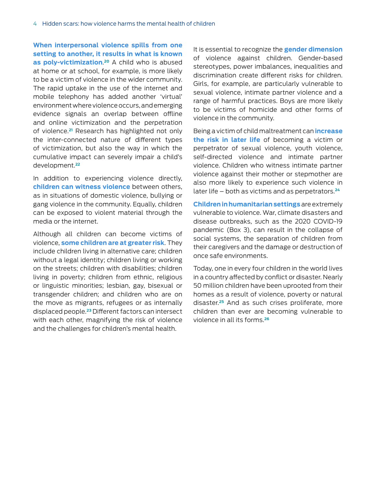**When interpersonal violence spills from one setting to another, it results in what is known as poly-victimization**. **<sup>20</sup>** A child who is abused at home or at school, for example, is more likely to be a victim of violence in the wider community. The rapid uptake in the use of the internet and mobile telephony has added another 'virtual' environment where violence occurs, and emerging evidence signals an overlap between offline and online victimization and the perpetration of violence.**21** Research has highlighted not only the inter-connected nature of different types of victimization, but also the way in which the cumulative impact can severely impair a child's development.**<sup>22</sup>**

In addition to experiencing violence directly, **children can witness violence** between others, as in situations of domestic violence, bullying or gang violence in the community. Equally, children can be exposed to violent material through the media or the internet.

Although all children can become victims of violence, **some children are at greater risk**. They include children living in alternative care; children without a legal identity; children living or working on the streets; children with disabilities; children living in poverty; children from ethnic, religious or linguistic minorities; lesbian, gay, bisexual or transgender children; and children who are on the move as migrants, refugees or as internally displaced people.**23** Different factors can intersect with each other, magnifying the risk of violence and the challenges for children's mental health.

It is essential to recognize the **gender dimension** of violence against children. Gender-based stereotypes, power imbalances, inequalities and discrimination create different risks for children. Girls, for example, are particularly vulnerable to sexual violence, intimate partner violence and a range of harmful practices. Boys are more likely to be victims of homicide and other forms of violence in the community.

Being a victim of child maltreatment can **increase the risk in later life** of becoming a victim or perpetrator of sexual violence, youth violence, self-directed violence and intimate partner violence. Children who witness intimate partner violence against their mother or stepmother are also more likely to experience such violence in later life – both as victims and as perpetrators.**<sup>24</sup>**

**Children in humanitarian settings** are extremely vulnerable to violence. War, climate disasters and disease outbreaks, such as the 2020 COVID-19 pandemic (Box 3), can result in the collapse of social systems, the separation of children from their caregivers and the damage or destruction of once safe environments.

Today, one in every four children in the world lives in a country affected by conflict or disaster. Nearly 50 million children have been uprooted from their homes as a result of violence, poverty or natural disaster.**25** And as such crises proliferate, more children than ever are becoming vulnerable to violence in all its forms.**26**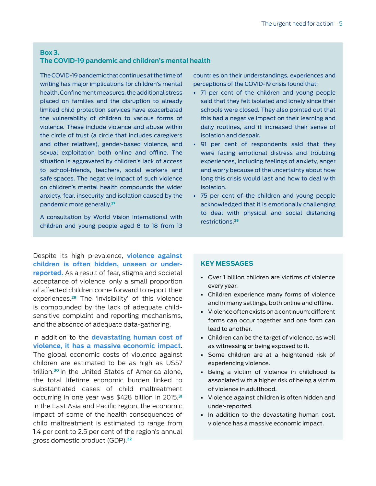# **Box 3.**

# **The COVID-19 pandemic and children's mental health**

The COVID-19 pandemic that continues at the time of writing has major implications for children's mental health. Confinement measures, the additional stress placed on families and the disruption to already limited child protection services have exacerbated the vulnerability of children to various forms of violence. These include violence and abuse within the circle of trust (a circle that includes caregivers and other relatives), gender-based violence, and sexual exploitation both online and offline. The situation is aggravated by children's lack of access to school-friends, teachers, social workers and safe spaces. The negative impact of such violence on children's mental health compounds the wider anxiety, fear, insecurity and isolation caused by the pandemic more generally.**<sup>27</sup>**

A consultation by World Vision International with children and young people aged 8 to 18 from 13

Despite its high prevalence, **violence against children is often hidden, unseen or underreported.** As a result of fear, stigma and societal acceptance of violence, only a small proportion of affected children come forward to report their experiences.**29** The 'invisibility' of this violence is compounded by the lack of adequate childsensitive complaint and reporting mechanisms, and the absence of adequate data-gathering.

In addition to the **devastating human cost of violence, it has a massive economic impact**. The global economic costs of violence against children are estimated to be as high as US\$7 trillion.**30** In the United States of America alone, the total lifetime economic burden linked to substantiated cases of child maltreatment occurring in one year was \$428 billion in 2015.**<sup>31</sup>** In the East Asia and Pacific region, the economic impact of some of the health consequences of child maltreatment is estimated to range from 1.4 per cent to 2.5 per cent of the region's annual gross domestic product (GDP).**<sup>32</sup>**

countries on their understandings, experiences and perceptions of the COVID-19 crisis found that:

- 71 per cent of the children and young people said that they felt isolated and lonely since their schools were closed. They also pointed out that this had a negative impact on their learning and daily routines, and it increased their sense of isolation and despair.
- 91 per cent of respondents said that they were facing emotional distress and troubling experiences, including feelings of anxiety, anger and worry because of the uncertainty about how long this crisis would last and how to deal with isolation.
- 75 per cent of the children and young people acknowledged that it is emotionally challenging to deal with physical and social distancing restrictions.**28**

#### **KEY MESSAGES**

- Over 1 billion children are victims of violence every year.
- Children experience many forms of violence and in many settings, both online and offline.
- Violence often exists on a continuum: different forms can occur together and one form can lead to another.
- Children can be the target of violence, as well as witnessing or being exposed to it.
- Some children are at a heightened risk of experiencing violence.
- Being a victim of violence in childhood is associated with a higher risk of being a victim of violence in adulthood.
- Violence against children is often hidden and under-reported.
- In addition to the devastating human cost, violence has a massive economic impact.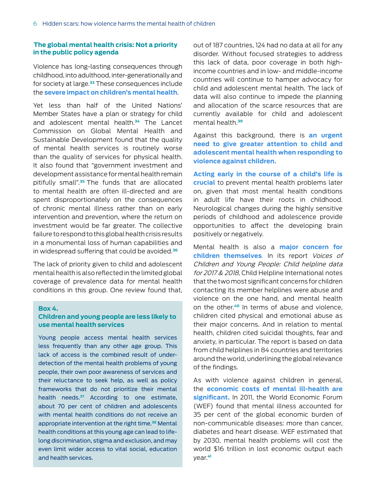## **The global mental health crisis: Not a priority in the public policy agenda**

Violence has long-lasting consequences through childhood, into adulthood, inter-generationally and for society at large.**33** These consequences include the **severe impact on children's mental health**.

Yet less than half of the United Nations' Member States have a plan or strategy for child and adolescent mental health.**34** The Lancet Commission on Global Mental Health and Sustainable Development found that the quality of mental health services is routinely worse than the quality of services for physical health. It also found that "government investment and development assistance for mental health remain pitifully small".**35** The funds that are allocated to mental health are often ill-directed and are spent disproportionately on the consequences of chronic mental illness rather than on early intervention and prevention, where the return on investment would be far greater. The collective failure to respond to this global health crisis results in a monumental loss of human capabilities and in widespread suffering that could be avoided.**<sup>36</sup>**

The lack of priority given to child and adolescent mental health is also reflected in the limited global coverage of prevalence data for mental health conditions in this group. One review found that,

#### **Box 4.**

# **Children and young people are less likely to use mental health services**

Young people access mental health services less frequently than any other age group. This lack of access is the combined result of underdetection of the mental health problems of young people, their own poor awareness of services and their reluctance to seek help, as well as policy frameworks that do not prioritize their mental health needs.**<sup>37</sup>** According to one estimate, about 70 per cent of children and adolescents with mental health conditions do not receive an appropriate intervention at the right time.**<sup>38</sup>** Mental health conditions at this young age can lead to lifelong discrimination, stigma and exclusion, and may even limit wider access to vital social, education and health services.

out of 187 countries, 124 had no data at all for any disorder. Without focused strategies to address this lack of data, poor coverage in both highincome countries and in low- and middle-income countries will continue to hamper advocacy for child and adolescent mental health. The lack of data will also continue to impede the planning and allocation of the scarce resources that are currently available for child and adolescent mental health.**<sup>39</sup>**

Against this background, there is **an urgent need to give greater attention to child and adolescent mental health when responding to violence against children.** 

**Acting early in the course of a child's life is crucial** to prevent mental health problems later on, given that most mental health conditions in adult life have their roots in childhood. Neurological changes during the highly sensitive periods of childhood and adolescence provide opportunities to affect the developing brain positively or negatively.

Mental health is also a **major concern for children themselves**. In its report Voices of Children and Young People: Child helpline data for 2017 & 2018, Child Helpline International notes that the two most significant concerns for children contacting its member helplines were abuse and violence on the one hand, and mental health on the other.**40** In terms of abuse and violence, children cited physical and emotional abuse as their major concerns. And in relation to mental health, children cited suicidal thoughts, fear and anxiety, in particular. The report is based on data from child helplines in 84 countries and territories around the world, underlining the global relevance of the findings.

As with violence against children in general, the **economic costs of mental ill-health are significant.** In 2011, the World Economic Forum (WEF) found that mental illness accounted for 35 per cent of the global economic burden of non-communicable diseases: more than cancer, diabetes and heart disease. WEF estimated that by 2030, mental health problems will cost the world \$16 trillion in lost economic output each year.**41**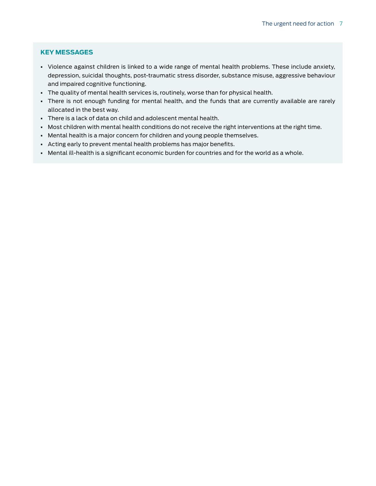# **KEY MESSAGES**

- Violence against children is linked to a wide range of mental health problems. These include anxiety, depression, suicidal thoughts, post-traumatic stress disorder, substance misuse, aggressive behaviour and impaired cognitive functioning.
- The quality of mental health services is, routinely, worse than for physical health.
- There is not enough funding for mental health, and the funds that are currently available are rarely allocated in the best way.
- There is a lack of data on child and adolescent mental health.
- Most children with mental health conditions do not receive the right interventions at the right time.
- Mental health is a major concern for children and young people themselves.
- Acting early to prevent mental health problems has major benefits.
- Mental ill-health is a significant economic burden for countries and for the world as a whole.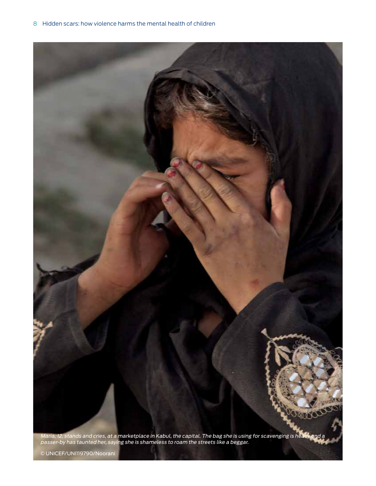

Maria, 12, stands and cries, at a marketplace in Kabul, the capital. The bag she is using for scavenging is heavy and a passer-by has taunted her, saying she is shameless to roam the streets like a beggar.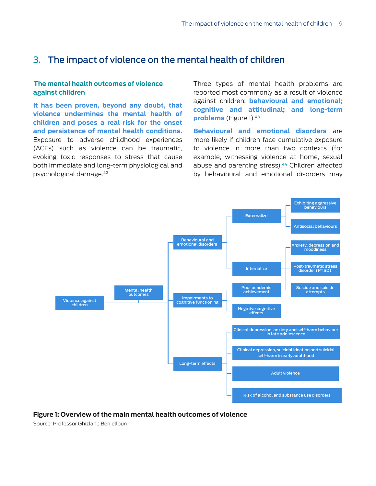# 3. The impact of violence on the mental health of children

# **The mental health outcomes of violence against children**

**It has been proven, beyond any doubt, that violence undermines the mental health of children and poses a real risk for the onset and persistence of mental health conditions.**  Exposure to adverse childhood experiences (ACEs) such as violence can be traumatic, evoking toxic responses to stress that cause both immediate and long-term physiological and psychological damage.**<sup>42</sup>**

Three types of mental health problems are reported most commonly as a result of violence against children: **behavioural and emotional; cognitive and attitudinal; and long-term problems** (Figure 1).**<sup>43</sup>**

**Behavioural and emotional disorders** are more likely if children face cumulative exposure to violence in more than two contexts (for example, witnessing violence at home, sexual abuse and parenting stress).**44** Children affected by behavioural and emotional disorders may



**Figure 1: Overview of the main mental health outcomes of violence**

Source: Professor Ghizlane Benjelloun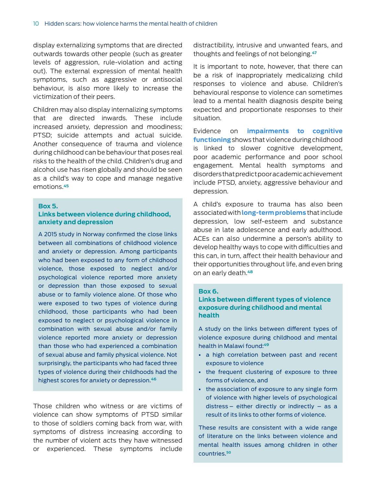display externalizing symptoms that are directed outwards towards other people (such as greater levels of aggression, rule-violation and acting out). The external expression of mental health symptoms, such as aggressive or antisocial behaviour, is also more likely to increase the victimization of their peers.

Children may also display internalizing symptoms that are directed inwards. These include increased anxiety, depression and moodiness; PTSD; suicide attempts and actual suicide. Another consequence of trauma and violence during childhood can be behaviour that poses real risks to the health of the child. Children's drug and alcohol use has risen globally and should be seen as a child's way to cope and manage negative emotions.**<sup>45</sup>**

#### **Box 5.**

# **Links between violence during childhood, anxiety and depression**

A 2015 study in Norway confirmed the close links between all combinations of childhood violence and anxiety or depression. Among participants who had been exposed to any form of childhood violence, those exposed to neglect and/or psychological violence reported more anxiety or depression than those exposed to sexual abuse or to family violence alone. Of those who were exposed to two types of violence during childhood, those participants who had been exposed to neglect or psychological violence in combination with sexual abuse and/or family violence reported more anxiety or depression than those who had experienced a combination of sexual abuse and family physical violence. Not surprisingly, the participants who had faced three types of violence during their childhoods had the highest scores for anxiety or depression.**<sup>46</sup>**

Those children who witness or are victims of violence can show symptoms of PTSD similar to those of soldiers coming back from war, with symptoms of distress increasing according to the number of violent acts they have witnessed or experienced. These symptoms include

distractibility, intrusive and unwanted fears, and thoughts and feelings of not belonging.**<sup>47</sup>**

It is important to note, however, that there can be a risk of inappropriately medicalizing child responses to violence and abuse. Children's behavioural response to violence can sometimes lead to a mental health diagnosis despite being expected and proportionate responses to their situation.

Evidence on **impairments to cognitive functioning** shows that violence during childhood is linked to slower cognitive development, poor academic performance and poor school engagement. Mental health symptoms and disorders that predict poor academic achievement include PTSD, anxiety, aggressive behaviour and depression.

A child's exposure to trauma has also been associated with **long-term problems** that include depression, low self-esteem and substance abuse in late adolescence and early adulthood. ACEs can also undermine a person's ability to develop healthy ways to cope with difficulties and this can, in turn, affect their health behaviour and their opportunities throughout life, and even bring on an early death.**48**

#### **Box 6.**

# **Links between different types of violence exposure during childhood and mental health**

A study on the links between different types of violence exposure during childhood and mental health in Malawi found:**<sup>49</sup>**

- a high correlation between past and recent exposure to violence
- the frequent clustering of exposure to three forms of violence, and
- the association of exposure to any single form of violence with higher levels of psychological distress – either directly or indirectly – as a result of its links to other forms of violence.

These results are consistent with a wide range of literature on the links between violence and mental health issues among children in other countries.**<sup>50</sup>**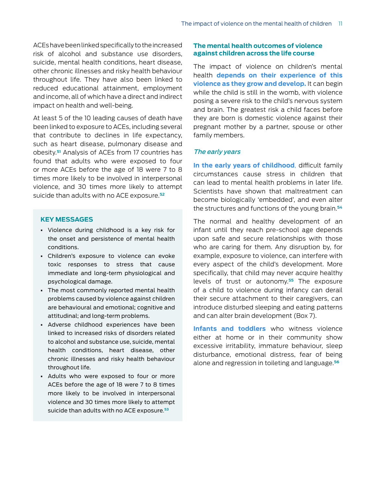ACEs have been linked specifically to the increased risk of alcohol and substance use disorders, suicide, mental health conditions, heart disease, other chronic illnesses and risky health behaviour throughout life. They have also been linked to reduced educational attainment, employment and income, all of which have a direct and indirect impact on health and well-being.

At least 5 of the 10 leading causes of death have been linked to exposure to ACEs, including several that contribute to declines in life expectancy, such as heart disease, pulmonary disease and obesity.**51** Analysis of ACEs from 17 countries has found that adults who were exposed to four or more ACEs before the age of 18 were 7 to 8 times more likely to be involved in interpersonal violence, and 30 times more likely to attempt suicide than adults with no ACE exposure.**<sup>52</sup>**

# **KEY MESSAGES**

- Violence during childhood is a key risk for the onset and persistence of mental health conditions.
- Children's exposure to violence can evoke toxic responses to stress that cause immediate and long-term physiological and psychological damage.
- The most commonly reported mental health problems caused by violence against children are behavioural and emotional; cognitive and attitudinal; and long-term problems.
- Adverse childhood experiences have been linked to increased risks of disorders related to alcohol and substance use, suicide, mental health conditions, heart disease, other chronic illnesses and risky health behaviour throughout life.
- Adults who were exposed to four or more ACEs before the age of 18 were 7 to 8 times more likely to be involved in interpersonal violence and 30 times more likely to attempt suicide than adults with no ACE exposure. **53**

# **The mental health outcomes of violence against children across the life course**

The impact of violence on children's mental health **depends on their experience of this violence as they grow and develop.** It can begin while the child is still in the womb, with violence posing a severe risk to the child's nervous system and brain. The greatest risk a child faces before they are born is domestic violence against their pregnant mother by a partner, spouse or other family members.

#### The early years

**In the early years of childhood**, difficult family circumstances cause stress in children that can lead to mental health problems in later life. Scientists have shown that maltreatment can become biologically 'embedded', and even alter the structures and functions of the young brain.**<sup>54</sup>**

The normal and healthy development of an infant until they reach pre-school age depends upon safe and secure relationships with those who are caring for them. Any disruption by, for example, exposure to violence, can interfere with every aspect of the child's development. More specifically, that child may never acquire healthy levels of trust or autonomy.**55** The exposure of a child to violence during infancy can derail their secure attachment to their caregivers, can introduce disturbed sleeping and eating patterns and can alter brain development (Box 7).

**Infants and toddlers** who witness violence either at home or in their community show excessive irritability, immature behaviour, sleep disturbance, emotional distress, fear of being alone and regression in toileting and language.**56**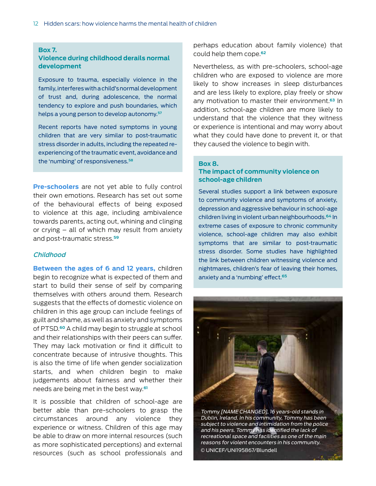#### **Box 7.**

# **Violence during childhood derails normal development**

Exposure to trauma, especially violence in the family, interferes with a child's normal development of trust and, during adolescence, the normal tendency to explore and push boundaries, which helps a young person to develop autonomy.**<sup>57</sup>**

Recent reports have noted symptoms in young children that are very similar to post-traumatic stress disorder in adults, including the repeated reexperiencing of the traumatic event, avoidance and the 'numbing' of responsiveness.**58**

**Pre-schoolers** are not yet able to fully control their own emotions. Research has set out some of the behavioural effects of being exposed to violence at this age, including ambivalence towards parents, acting out, whining and clinging or crying – all of which may result from anxiety and post-traumatic stress.**<sup>59</sup>**

## Childhood

**Between the ages of 6 and 12 years,** children begin to recognize what is expected of them and start to build their sense of self by comparing themselves with others around them. Research suggests that the effects of domestic violence on children in this age group can include feelings of guilt and shame, as well as anxiety and symptoms of PTSD.**60** A child may begin to struggle at school and their relationships with their peers can suffer. They may lack motivation or find it difficult to concentrate because of intrusive thoughts. This is also the time of life when gender socialization starts, and when children begin to make judgements about fairness and whether their needs are being met in the best way.**<sup>61</sup>**

It is possible that children of school-age are better able than pre-schoolers to grasp the circumstances around any violence they experience or witness. Children of this age may be able to draw on more internal resources (such as more sophisticated perceptions) and external resources (such as school professionals and perhaps education about family violence) that could help them cope.**<sup>62</sup>**

Nevertheless, as with pre-schoolers, school-age children who are exposed to violence are more likely to show increases in sleep disturbances and are less likely to explore, play freely or show any motivation to master their environment.**63** In addition, school-age children are more likely to understand that the violence that they witness or experience is intentional and may worry about what they could have done to prevent it, or that they caused the violence to begin with.

#### **Box 8.**

# **The impact of community violence on school-age children**

Several studies support a link between exposure to community violence and symptoms of anxiety, depression and aggressive behaviour in school-age children living in violent urban neighbourhoods.**<sup>64</sup>** In extreme cases of exposure to chronic community violence, school-age children may also exhibit symptoms that are similar to post-traumatic stress disorder. Some studies have highlighted the link between children witnessing violence and nightmares, children's fear of leaving their homes, anxiety and a 'numbing' effect.**<sup>65</sup>**



Tommy [NAME CHANGED], 16 years-old stands in Dublin, Ireland. In his community, Tommy has been subject to violence and intimidation from the police and his peers. Tommy has identified the lack of recreational space and facilities as one of the main reasons for violent encounters in his community. © UNICEF/UNI195867/Blundell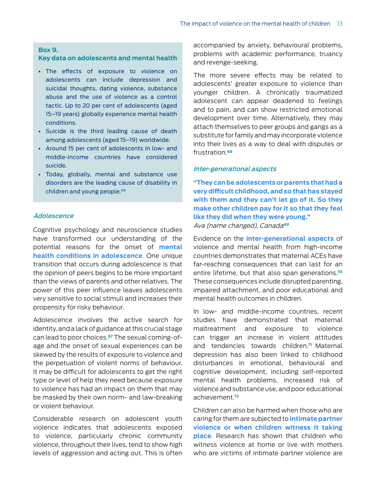#### **Box 9.**

# **Key data on adolescents and mental health**

- The effects of exposure to violence on adolescents can include depression and suicidal thoughts, dating violence, substance abuse and the use of violence as a control tactic. Up to 20 per cent of adolescents (aged 15–19 years) globally experience mental health conditions.
- Suicide is the third leading cause of death among adolescents (aged 15–19) worldwide.
- Around 15 per cent of adolescents in low- and middle-income countries have considered suicide.
- Today, globally, mental and substance use disorders are the leading cause of disability in children and young people.**<sup>66</sup>**

# Adolescence

Cognitive psychology and neuroscience studies have transformed our understanding of the potential reasons for the onset of **mental health conditions in adolescence**. One unique transition that occurs during adolescence is that the opinion of peers begins to be more important than the views of parents and other relatives. The power of this peer influence leaves adolescents very sensitive to social stimuli and increases their propensity for risky behaviour.

Adolescence involves the active search for identity, and a lack of guidance at this crucial stage can lead to poor choices.**67** The sexual coming-ofage and the onset of sexual experiences can be skewed by the results of exposure to violence and the perpetuation of violent norms of behaviour. It may be difficult for adolescents to get the right type or level of help they need because exposure to violence has had an impact on them that may be masked by their own norm- and law-breaking or violent behaviour.

Considerable research on adolescent youth violence indicates that adolescents exposed to violence, particularly chronic community violence, throughout their lives, tend to show high levels of aggression and acting out. This is often accompanied by anxiety, behavioural problems, problems with academic performance, truancy and revenge-seeking.

The more severe effects may be related to adolescents' greater exposure to violence than younger children. A chronically traumatized adolescent can appear deadened to feelings and to pain, and can show restricted emotional development over time. Alternatively, they may attach themselves to peer groups and gangs as a substitute for family and may incorporate violence into their lives as a way to deal with disputes or frustration.**<sup>68</sup>**

#### Inter-generational aspects

**"They can be adolescents or parents that had a very difficult childhood, and so that has stayed with them and they can't let go of it. So they make other children pay for it so that they feel like they did when they were young."**  Ava (name changed), Canada**<sup>69</sup>**

Evidence on the **inter-generational aspects** of violence and mental health from high-income countries demonstrates that maternal ACEs have far-reaching consequences that can last for an entire lifetime, but that also span generations.**<sup>70</sup>** These consequences include disrupted parenting, impaired attachment, and poor educational and mental health outcomes in children.

In low- and middle-income countries, recent studies have demonstrated that maternal maltreatment and exposure to violence can trigger an increase in violent attitudes and tendencies towards children.**71** Maternal depression has also been linked to childhood disturbances in emotional, behavioural and cognitive development, including self-reported mental health problems, increased risk of violence and substance use, and poor educational achievement.**<sup>72</sup>**

Children can also be harmed when those who are caring for them are subjected to **intimate partner violence or when children witness it taking place**. Research has shown that children who witness violence at home or live with mothers who are victims of intimate partner violence are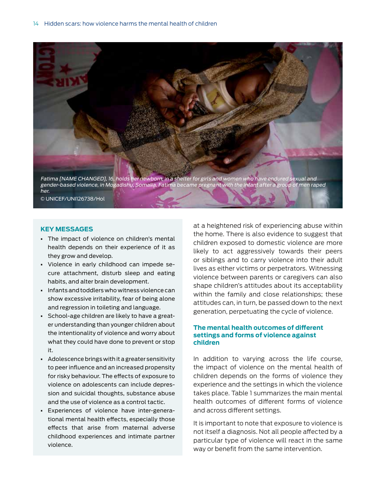

# **KEY MESSAGES**

- The impact of violence on children's mental health depends on their experience of it as they grow and develop.
- Violence in early childhood can impede secure attachment, disturb sleep and eating habits, and alter brain development.
- Infants and toddlers who witness violence can show excessive irritability, fear of being alone and regression in toileting and language.
- School-age children are likely to have a greater understanding than younger children about the intentionality of violence and worry about what they could have done to prevent or stop it.
- Adolescence brings with it a greater sensitivity to peer influence and an increased propensity for risky behaviour. The effects of exposure to violence on adolescents can include depression and suicidal thoughts, substance abuse and the use of violence as a control tactic.
- Experiences of violence have inter-generational mental health effects, especially those effects that arise from maternal adverse childhood experiences and intimate partner violence.

at a heightened risk of experiencing abuse within the home. There is also evidence to suggest that children exposed to domestic violence are more likely to act aggressively towards their peers or siblings and to carry violence into their adult lives as either victims or perpetrators. Witnessing violence between parents or caregivers can also shape children's attitudes about its acceptability within the family and close relationships; these attitudes can, in turn, be passed down to the next generation, perpetuating the cycle of violence.

# **The mental health outcomes of different settings and forms of violence against children**

In addition to varying across the life course, the impact of violence on the mental health of children depends on the forms of violence they experience and the settings in which the violence takes place. Table 1 summarizes the main mental health outcomes of different forms of violence and across different settings.

It is important to note that exposure to violence is not itself a diagnosis. Not all people affected by a particular type of violence will react in the same way or benefit from the same intervention.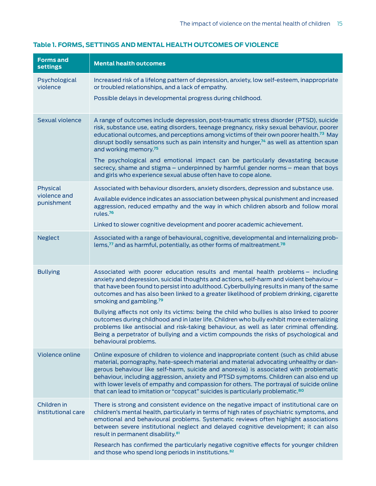| <b>Forms and</b><br><b>settings</b> | <b>Mental health outcomes</b>                                                                                                                                                                                                                                                                                                                                                                                                                                                                                                                              |
|-------------------------------------|------------------------------------------------------------------------------------------------------------------------------------------------------------------------------------------------------------------------------------------------------------------------------------------------------------------------------------------------------------------------------------------------------------------------------------------------------------------------------------------------------------------------------------------------------------|
| Psychological<br>violence           | Increased risk of a lifelong pattern of depression, anxiety, low self-esteem, inappropriate<br>or troubled relationships, and a lack of empathy.                                                                                                                                                                                                                                                                                                                                                                                                           |
|                                     | Possible delays in developmental progress during childhood.                                                                                                                                                                                                                                                                                                                                                                                                                                                                                                |
| Sexual violence                     | A range of outcomes include depression, post-traumatic stress disorder (PTSD), suicide<br>risk, substance use, eating disorders, teenage pregnancy, risky sexual behaviour, poorer<br>educational outcomes, and perceptions among victims of their own poorer health. <sup>73</sup> May<br>disrupt bodily sensations such as pain intensity and hunger, <sup>74</sup> as well as attention span<br>and working memory. <sup>75</sup>                                                                                                                       |
|                                     | The psychological and emotional impact can be particularly devastating because<br>secrecy, shame and stigma - underpinned by harmful gender norms - mean that boys<br>and girls who experience sexual abuse often have to cope alone.                                                                                                                                                                                                                                                                                                                      |
| Physical                            | Associated with behaviour disorders, anxiety disorders, depression and substance use.                                                                                                                                                                                                                                                                                                                                                                                                                                                                      |
| violence and<br>punishment          | Available evidence indicates an association between physical punishment and increased<br>aggression, reduced empathy and the way in which children absorb and follow moral<br>rules. <sup>76</sup>                                                                                                                                                                                                                                                                                                                                                         |
|                                     | Linked to slower cognitive development and poorer academic achievement.                                                                                                                                                                                                                                                                                                                                                                                                                                                                                    |
| <b>Neglect</b>                      | Associated with a range of behavioural, cognitive, developmental and internalizing prob-<br>lems, <sup>77</sup> and as harmful, potentially, as other forms of maltreatment. <sup>78</sup>                                                                                                                                                                                                                                                                                                                                                                 |
| <b>Bullying</b>                     | Associated with poorer education results and mental health problems - including<br>anxiety and depression, suicidal thoughts and actions, self-harm and violent behaviour -<br>that have been found to persist into adulthood. Cyberbullying results in many of the same<br>outcomes and has also been linked to a greater likelihood of problem drinking, cigarette<br>smoking and gambling. <sup>79</sup>                                                                                                                                                |
|                                     | Bullying affects not only its victims: being the child who bullies is also linked to poorer<br>outcomes during childhood and in later life. Children who bully exhibit more externalizing<br>problems like antisocial and risk-taking behaviour, as well as later criminal offending.<br>Being a perpetrator of bullying and a victim compounds the risks of psychological and<br>behavioural problems.                                                                                                                                                    |
| Violence online                     | Online exposure of children to violence and inappropriate content (such as child abuse<br>material, pornography, hate-speech material and material advocating unhealthy or dan-<br>gerous behaviour like self-harm, suicide and anorexia) is associated with problematic<br>behaviour, including aggression, anxiety and PTSD symptoms. Children can also end up<br>with lower levels of empathy and compassion for others. The portrayal of suicide online<br>that can lead to imitation or "copycat" suicides is particularly problematic. <sup>80</sup> |
| Children in<br>institutional care   | There is strong and consistent evidence on the negative impact of institutional care on<br>children's mental health, particularly in terms of high rates of psychiatric symptoms, and<br>emotional and behavioural problems. Systematic reviews often highlight associations<br>between severe institutional neglect and delayed cognitive development; it can also<br>result in permanent disability. <sup>81</sup>                                                                                                                                       |
|                                     | Research has confirmed the particularly negative cognitive effects for younger children<br>and those who spend long periods in institutions. <sup>82</sup>                                                                                                                                                                                                                                                                                                                                                                                                 |

# **Table 1. FORMS, SETTINGS AND MENTAL HEALTH OUTCOMES OF VIOLENCE**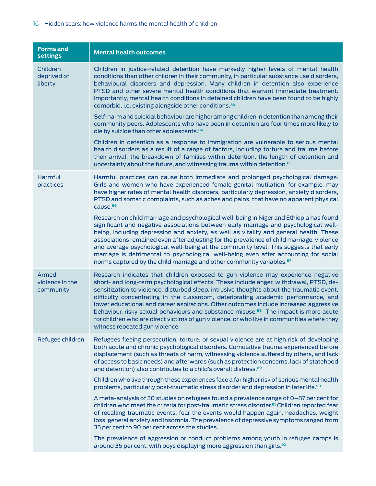| <b>Forms and</b><br><b>settings</b>   | <b>Mental health outcomes</b>                                                                                                                                                                                                                                                                                                                                                                                                                                                                                                                                                                                                                                                             |
|---------------------------------------|-------------------------------------------------------------------------------------------------------------------------------------------------------------------------------------------------------------------------------------------------------------------------------------------------------------------------------------------------------------------------------------------------------------------------------------------------------------------------------------------------------------------------------------------------------------------------------------------------------------------------------------------------------------------------------------------|
| Children<br>deprived of<br>liberty    | Children in justice-related detention have markedly higher levels of mental health<br>conditions than other children in their community, in particular substance use disorders,<br>behavioural disorders and depression. Many children in detention also experience<br>PTSD and other severe mental health conditions that warrant immediate treatment.<br>Importantly, mental health conditions in detained children have been found to be highly<br>comorbid, i.e. existing alongside other conditions. <sup>83</sup>                                                                                                                                                                   |
|                                       | Self-harm and suicidal behaviour are higher among children in detention than among their<br>community peers. Adolescents who have been in detention are four times more likely to<br>die by suicide than other adolescents. <sup>84</sup>                                                                                                                                                                                                                                                                                                                                                                                                                                                 |
|                                       | Children in detention as a response to immigration are vulnerable to serious mental<br>health disorders as a result of a range of factors, including torture and trauma before<br>their arrival, the breakdown of families within detention, the length of detention and<br>uncertainty about the future, and witnessing trauma within detention. <sup>85</sup>                                                                                                                                                                                                                                                                                                                           |
| Harmful<br>practices                  | Harmful practices can cause both immediate and prolonged psychological damage.<br>Girls and women who have experienced female genital mutilation, for example, may<br>have higher rates of mental health disorders, particularly depression, anxiety disorders,<br>PTSD and somatic complaints, such as aches and pains, that have no apparent physical<br>cause. <sup>86</sup>                                                                                                                                                                                                                                                                                                           |
|                                       | Research on child marriage and psychological well-being in Niger and Ethiopia has found<br>significant and negative associations between early marriage and psychological well-<br>being, including depression and anxiety, as well as vitality and general health. These<br>associations remained even after adjusting for the prevalence of child marriage, violence<br>and average psychological well-being at the community level. This suggests that early<br>marriage is detrimental to psychological well-being even after accounting for social<br>norms captured by the child marriage and other community variables. <sup>87</sup>                                              |
| Armed<br>violence in the<br>community | Research indicates that children exposed to gun violence may experience negative<br>short- and long-term psychological effects. These include anger, withdrawal, PTSD, de-<br>sensitization to violence, disturbed sleep, intrusive thoughts about the traumatic event,<br>difficulty concentrating in the classroom, deteriorating academic performance, and<br>lower educational and career aspirations. Other outcomes include increased aggressive<br>behaviour, risky sexual behaviours and substance misuse. <sup>88</sup> The impact is more acute<br>for children who are direct victims of gun violence, or who live in communities where they<br>witness repeated gun violence. |
| Refugee children                      | Refugees fleeing persecution, torture, or sexual violence are at high risk of developing<br>both acute and chronic psychological disorders. Cumulative trauma experienced before<br>displacement (such as threats of harm, witnessing violence suffered by others, and lack<br>of access to basic needs) and afterwards (such as protection concerns, lack of statehood<br>and detention) also contributes to a child's overall distress. <sup>89</sup>                                                                                                                                                                                                                                   |
|                                       | Children who live through these experiences face a far higher risk of serious mental health<br>problems, particularly post-traumatic stress disorder and depression in later life. <sup>90</sup>                                                                                                                                                                                                                                                                                                                                                                                                                                                                                          |
|                                       | A meta-analysis of 30 studies on refugees found a prevalence range of 0-87 per cent for<br>children who meet the criteria for post-traumatic stress disorder. <sup>91</sup> Children reported fear<br>of recalling traumatic events, fear the events would happen again, headaches, weight<br>loss, general anxiety and insomnia. The prevalence of depressive symptoms ranged from<br>35 per cent to 90 per cent across the studies.                                                                                                                                                                                                                                                     |
|                                       | The prevalence of aggression or conduct problems among youth in refugee camps is<br>around 36 per cent, with boys displaying more aggression than girls. <sup>92</sup>                                                                                                                                                                                                                                                                                                                                                                                                                                                                                                                    |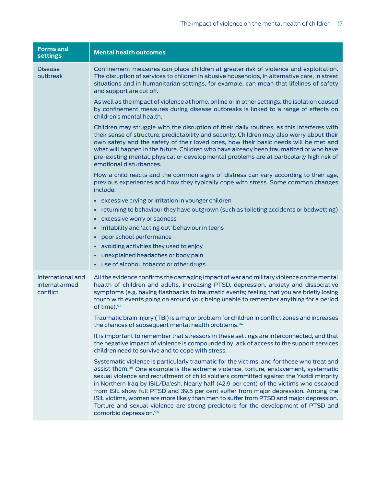| <b>Forms and</b><br><b>settings</b>             | <b>Mental health outcomes</b>                                                                                                                                                                                                                                                                                                                                                                                                                                                                                                                                                                                                                                                                   |
|-------------------------------------------------|-------------------------------------------------------------------------------------------------------------------------------------------------------------------------------------------------------------------------------------------------------------------------------------------------------------------------------------------------------------------------------------------------------------------------------------------------------------------------------------------------------------------------------------------------------------------------------------------------------------------------------------------------------------------------------------------------|
| <b>Disease</b><br>outbreak                      | Confinement measures can place children at greater risk of violence and exploitation.<br>The disruption of services to children in abusive households, in alternative care, in street<br>situations and in humanitarian settings, for example, can mean that lifelines of safety<br>and support are cut off.                                                                                                                                                                                                                                                                                                                                                                                    |
|                                                 | As well as the impact of violence at home, online or in other settings, the isolation caused<br>by confinement measures during disease outbreaks is linked to a range of effects on<br>children's mental health.                                                                                                                                                                                                                                                                                                                                                                                                                                                                                |
|                                                 | Children may struggle with the disruption of their daily routines, as this interferes with<br>their sense of structure, predictability and security. Children may also worry about their<br>own safety and the safety of their loved ones, how their basic needs will be met and<br>what will happen in the future. Children who have already been traumatized or who have<br>pre-existing mental, physical or developmental problems are at particularly high risk of<br>emotional disturbances.                                                                                                                                                                                               |
|                                                 | How a child reacts and the common signs of distress can vary according to their age,<br>previous experiences and how they typically cope with stress. Some common changes<br>include:                                                                                                                                                                                                                                                                                                                                                                                                                                                                                                           |
|                                                 | - excessive crying or irritation in younger children                                                                                                                                                                                                                                                                                                                                                                                                                                                                                                                                                                                                                                            |
|                                                 | • returning to behaviour they have outgrown (such as toileting accidents or bedwetting)                                                                                                                                                                                                                                                                                                                                                                                                                                                                                                                                                                                                         |
|                                                 | • excessive worry or sadness                                                                                                                                                                                                                                                                                                                                                                                                                                                                                                                                                                                                                                                                    |
|                                                 | • irritability and 'acting out' behaviour in teens                                                                                                                                                                                                                                                                                                                                                                                                                                                                                                                                                                                                                                              |
|                                                 | poor school performance<br>٠                                                                                                                                                                                                                                                                                                                                                                                                                                                                                                                                                                                                                                                                    |
|                                                 | • avoiding activities they used to enjoy                                                                                                                                                                                                                                                                                                                                                                                                                                                                                                                                                                                                                                                        |
|                                                 | • unexplained headaches or body pain                                                                                                                                                                                                                                                                                                                                                                                                                                                                                                                                                                                                                                                            |
|                                                 | • use of alcohol, tobacco or other drugs.                                                                                                                                                                                                                                                                                                                                                                                                                                                                                                                                                                                                                                                       |
| International and<br>internal armed<br>conflict | All the evidence confirms the damaging impact of war and military violence on the mental<br>health of children and adults, increasing PTSD, depression, anxiety and dissociative<br>symptoms (e.g. having flashbacks to traumatic events; feeling that you are briefly losing<br>touch with events going on around you; being unable to remember anything for a period<br>of time). <sup>93</sup>                                                                                                                                                                                                                                                                                               |
|                                                 | Traumatic brain injury (TBI) is a major problem for children in conflict zones and increases<br>the chances of subsequent mental health problems. <sup>94</sup>                                                                                                                                                                                                                                                                                                                                                                                                                                                                                                                                 |
|                                                 | It is important to remember that stressors in these settings are interconnected, and that<br>the negative impact of violence is compounded by lack of access to the support services<br>children need to survive and to cope with stress.                                                                                                                                                                                                                                                                                                                                                                                                                                                       |
|                                                 | Systematic violence is particularly traumatic for the victims, and for those who treat and<br>assist them. <sup>95</sup> One example is the extreme violence, torture, enslavement, systematic<br>sexual violence and recruitment of child soldiers committed against the Yazidi minority<br>in Northern Iraq by ISIL/Da'esh. Nearly half (42.9 per cent) of the victims who escaped<br>from ISIL show full PTSD and 39.5 per cent suffer from major depression. Among the<br>ISIL victims, women are more likely than men to suffer from PTSD and major depression.<br>Torture and sexual violence are strong predictors for the development of PTSD and<br>comorbid depression. <sup>96</sup> |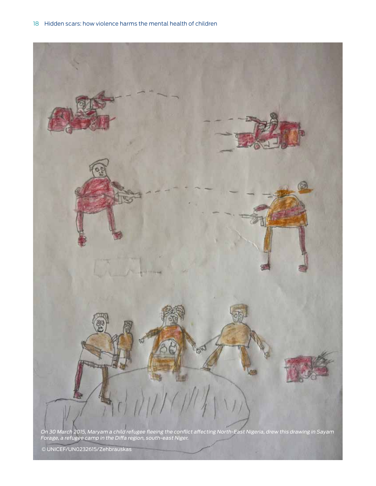

Forage, a refugee camp in the Diffa region, south-east Niger.

© UNICEF/UN0232615/Zehbrauskas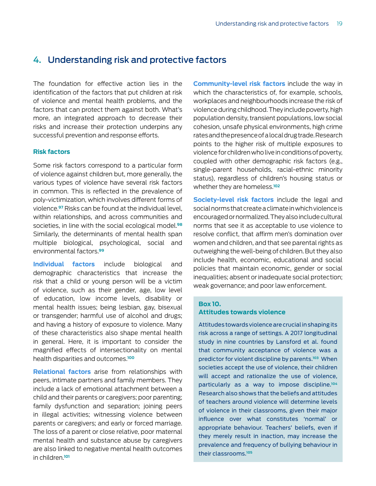# 4. Understanding risk and protective factors

The foundation for effective action lies in the identification of the factors that put children at risk of violence and mental health problems, and the factors that can protect them against both. What's more, an integrated approach to decrease their risks and increase their protection underpins any successful prevention and response efforts.

# **Risk factors**

Some risk factors correspond to a particular form of violence against children but, more generally, the various types of violence have several risk factors in common. This is reflected in the prevalence of poly-victimization, which involves different forms of violence.**97** Risks can be found at the individual level, within relationships, and across communities and societies, in line with the social ecological model.**<sup>98</sup>** Similarly, the determinants of mental health span multiple biological, psychological, social and environmental factors.**<sup>99</sup>**

**Individual factors** include biological and demographic characteristics that increase the risk that a child or young person will be a victim of violence, such as their gender, age, low level of education, low income levels, disability or mental health issues; being lesbian, gay, bisexual or transgender; harmful use of alcohol and drugs; and having a history of exposure to violence. Many of these characteristics also shape mental health in general. Here, it is important to consider the magnified effects of intersectionality on mental health disparities and outcomes.**<sup>100</sup>**

**Relational factors** arise from relationships with peers, intimate partners and family members. They include a lack of emotional attachment between a child and their parents or caregivers; poor parenting; family dysfunction and separation; joining peers in illegal activities; witnessing violence between parents or caregivers; and early or forced marriage. The loss of a parent or close relative, poor maternal mental health and substance abuse by caregivers are also linked to negative mental health outcomes in children.**<sup>101</sup>**

**Community-level risk factors** include the way in which the characteristics of, for example, schools, workplaces and neighbourhoods increase the risk of violence during childhood. They include poverty, high population density, transient populations, low social cohesion, unsafe physical environments, high crime rates and the presence of a local drug trade. Research points to the higher risk of multiple exposures to violence for children who live in conditions of poverty, coupled with other demographic risk factors (e.g., single-parent households, racial-ethnic minority status), regardless of children's housing status or whether they are homeless.**<sup>102</sup>**

**Society-level risk factors** include the legal and social norms that create a climate in which violence is encouraged or normalized. They also include cultural norms that see it as acceptable to use violence to resolve conflict, that affirm men's domination over women and children, and that see parental rights as outweighing the well-being of children. But they also include health, economic, educational and social policies that maintain economic, gender or social inequalities; absent or inadequate social protection; weak governance; and poor law enforcement.

# **Box 10. Attitudes towards violence**

Attitudes towards violence are crucial in shaping its risk across a range of settings. A 2017 longitudinal study in nine countries by Lansford et al. found that community acceptance of violence was a predictor for violent discipline by parents.**<sup>103</sup>** When societies accept the use of violence, their children will accept and rationalize the use of violence, particularly as a way to impose discipline.**<sup>104</sup>** Research also shows that the beliefs and attitudes of teachers around violence will determine levels of violence in their classrooms, given their major influence over what constitutes 'normal' or appropriate behaviour. Teachers' beliefs, even if they merely result in inaction, may increase the prevalence and frequency of bullying behaviour in their classrooms.**<sup>105</sup>**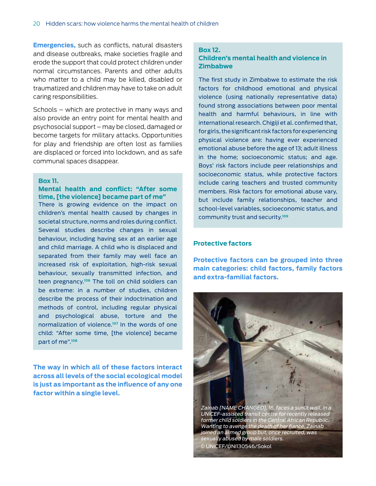**Emergencies,** such as conflicts, natural disasters and disease outbreaks, make societies fragile and erode the support that could protect children under normal circumstances. Parents and other adults who matter to a child may be killed, disabled or traumatized and children may have to take on adult caring responsibilities.

Schools – which are protective in many ways and also provide an entry point for mental health and psychosocial support – may be closed, damaged or become targets for military attacks. Opportunities for play and friendship are often lost as families are displaced or forced into lockdown, and as safe communal spaces disappear.

#### **Box 11.**

# **Mental health and conflict: "After some time, [the violence] became part of me"**

There is growing evidence on the impact on children's mental health caused by changes in societal structure, norms and roles during conflict. Several studies describe changes in sexual behaviour, including having sex at an earlier age and child marriage. A child who is displaced and separated from their family may well face an increased risk of exploitation, high-risk sexual behaviour, sexually transmitted infection, and teen pregnancy.**<sup>106</sup>** The toll on child soldiers can be extreme: in a number of studies, children describe the process of their indoctrination and methods of control, including regular physical and psychological abuse, torture and the normalization of violence.**<sup>107</sup>** In the words of one child: "After some time, [the violence] became part of me".**<sup>108</sup>**

**The way in which all of these factors interact across all levels of the social ecological model is just as important as the influence of any one factor within a single level.** 

### **Box 12. Children's mental health and violence in Zimbabwe**

The first study in Zimbabwe to estimate the risk factors for childhood emotional and physical violence (using nationally representative data) found strong associations between poor mental health and harmful behaviours, in line with international research. Chigiji et al. confirmed that, for girls, the significant risk factors for experiencing physical violence are: having ever experienced emotional abuse before the age of 13; adult illness in the home; socioeconomic status; and age. Boys' risk factors include peer relationships and socioeconomic status, while protective factors include caring teachers and trusted community members. Risk factors for emotional abuse vary, but include family relationships, teacher and school-level variables, socioeconomic status, and community trust and security.**<sup>109</sup>**

## **Protective factors**

**Protective factors can be grouped into three main categories: child factors, family factors and extra-familial factors.**



sexually abused by male soldiers. © UNICEF/UNI130546/Sokol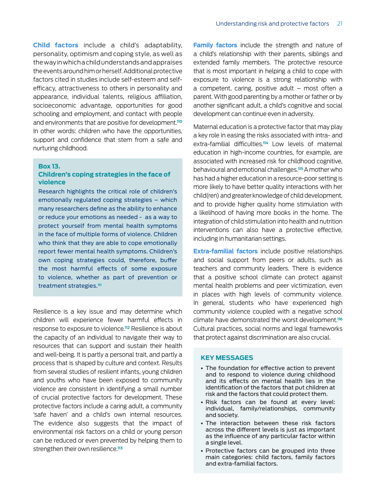**Child factors** include a child's adaptability, personality, optimism and coping style, as well as the way in which a child understands and appraises the events around him or herself. Additional protective factors cited in studies include self-esteem and selfefficacy, attractiveness to others in personality and appearance, individual talents, religious affiliation, socioeconomic advantage, opportunities for good schooling and employment, and contact with people and environments that are positive for development.**<sup>110</sup>** In other words: children who have the opportunities, support and confidence that stem from a safe and nurturing childhood.

#### **Box 13.**

# **Children's coping strategies in the face of violence**

Research highlights the critical role of children's emotionally regulated coping strategies – which many researchers define as the ability to enhance or reduce your emotions as needed - as a way to protect yourself from mental health symptoms in the face of multiple forms of violence. Children who think that they are able to cope emotionally report fewer mental health symptoms. Children's own coping strategies could, therefore, buffer the most harmful effects of some exposure to violence, whether as part of prevention or treatment strategies.**<sup>111</sup>**

Resilience is a key issue and may determine which children will experience fewer harmful effects in response to exposure to violence.**112** Resilience is about the capacity of an individual to navigate their way to resources that can support and sustain their health and well-being. It is partly a personal trait, and partly a process that is shaped by culture and context. Results from several studies of resilient infants, young children and youths who have been exposed to community violence are consistent in identifying a small number of crucial protective factors for development. These protective factors include a caring adult, a community 'safe haven' and a child's own internal resources. The evidence also suggests that the impact of environmental risk factors on a child or young person can be reduced or even prevented by helping them to strengthen their own resilience.**<sup>113</sup>**

**Family factors** include the strength and nature of a child's relationship with their parents, siblings and extended family members. The protective resource that is most important in helping a child to cope with exposure to violence is a strong relationship with a competent, caring, positive adult  $-$  most often a parent. With good parenting by a mother or father or by another significant adult, a child's cognitive and social development can continue even in adversity.

Maternal education is a protective factor that may play a key role in easing the risks associated with intra- and extra-familial difficulties.**114** Low levels of maternal education in high-income countries, for example, are associated with increased risk for childhood cognitive, behavioural and emotional challenges.**115** A mother who has had a higher education in a resource-poor setting is more likely to have better quality interactions with her child(ren) and greater knowledge of child development, and to provide higher quality home stimulation with a likelihood of having more books in the home. The integration of child stimulation into health and nutrition interventions can also have a protective effective, including in humanitarian settings.

**Extra-familial factors** include positive relationships and social support from peers or adults, such as teachers and community leaders. There is evidence that a positive school climate can protect against mental health problems and peer victimization, even in places with high levels of community violence. In general, students who have experienced high community violence coupled with a negative school climate have demonstrated the worst development.**<sup>116</sup>** Cultural practices, social norms and legal frameworks that protect against discrimination are also crucial.

### **KEY MESSAGES**

- The foundation for effective action to prevent and to respond to violence during childhood and its effects on mental health lies in the identification of the factors that put children at risk and the factors that could protect them.
- Risk factors can be found at every level: individual, family/relationships, community and society.
- The interaction between these risk factors across the different levels is just as important as the influence of any particular factor within a single level.
- Protective factors can be grouped into three main categories: child factors, family factors and extra-familial factors.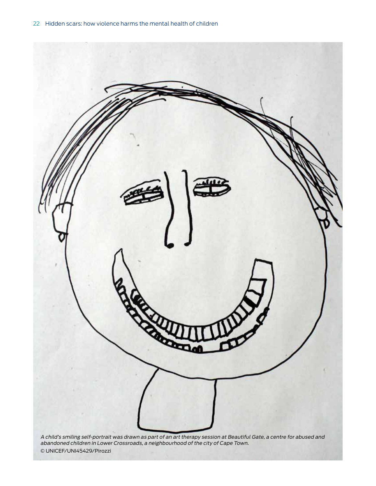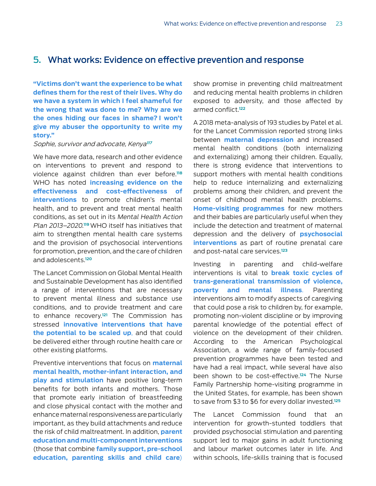# 5. What works: Evidence on effective prevention and response

**"Victims don't want the experience to be what defines them for the rest of their lives. Why do we have a system in which I feel shameful for the wrong that was done to me? Why are we the ones hiding our faces in shame? I won't give my abuser the opportunity to write my story."**

#### Sophie, survivor and advocate, Kenya**<sup>117</sup>**

We have more data, research and other evidence on interventions to prevent and respond to violence against children than ever before.**<sup>118</sup>** WHO has noted **increasing evidence on the effectiveness and cost-effectiveness of interventions** to promote children's mental health, and to prevent and treat mental health conditions, as set out in its Mental Health Action Plan 2013–2020. **<sup>119</sup>**WHO itself has initiatives that aim to strengthen mental health care systems and the provision of psychosocial interventions for promotion, prevention, and the care of children and adolescents.**<sup>120</sup>**

The Lancet Commission on Global Mental Health and Sustainable Development has also identified a range of interventions that are necessary to prevent mental illness and substance use conditions, and to provide treatment and care to enhance recovery.**121** The Commission has stressed **innovative interventions that have the potential to be scaled up**, and that could be delivered either through routine health care or other existing platforms.

Preventive interventions that focus on **maternal mental health, mother-infant interaction, and play and stimulation** have positive long-term benefits for both infants and mothers. Those that promote early initiation of breastfeeding and close physical contact with the mother and enhance maternal responsiveness are particularly important, as they build attachments and reduce the risk of child maltreatment. In addition, **parent education and multi-component interventions** (those that combine **family support, pre-school education, parenting skills and child care**)

show promise in preventing child maltreatment and reducing mental health problems in children exposed to adversity, and those affected by armed conflict.**<sup>122</sup>**

A 2018 meta-analysis of 193 studies by Patel et al. for the Lancet Commission reported strong links between **maternal depression** and increased mental health conditions (both internalizing and externalizing) among their children. Equally, there is strong evidence that interventions to support mothers with mental health conditions help to reduce internalizing and externalizing problems among their children, and prevent the onset of childhood mental health problems. **Home-visiting programmes** for new mothers and their babies are particularly useful when they include the detection and treatment of maternal depression and the delivery of **psychosocial interventions** as part of routine prenatal care and post-natal care services.**<sup>123</sup>**

Investing in parenting and child-welfare interventions is vital to **break toxic cycles of trans-generational transmission of violence, poverty and mental illness**. Parenting interventions aim to modify aspects of caregiving that could pose a risk to children by, for example, promoting non-violent discipline or by improving parental knowledge of the potential effect of violence on the development of their children. According to the American Psychological Association, a wide range of family-focused prevention programmes have been tested and have had a real impact, while several have also been shown to be cost-effective.**124** The Nurse Family Partnership home-visiting programme in the United States, for example, has been shown to save from \$3 to \$6 for every dollar invested.**<sup>125</sup>**

The Lancet Commission found that an intervention for growth-stunted toddlers that provided psychosocial stimulation and parenting support led to major gains in adult functioning and labour market outcomes later in life. And within schools, life-skills training that is focused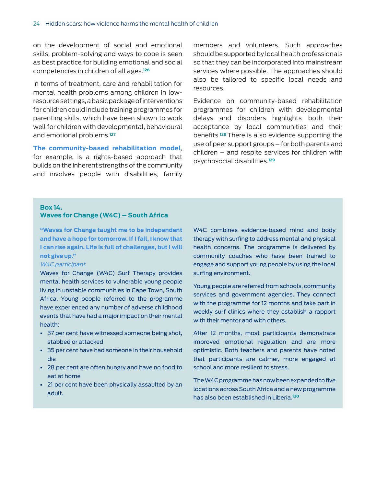on the development of social and emotional skills, problem-solving and ways to cope is seen as best practice for building emotional and social competencies in children of all ages.**<sup>126</sup>**

In terms of treatment, care and rehabilitation for mental health problems among children in lowresource settings, a basic package of interventions for children could include training programmes for parenting skills, which have been shown to work well for children with developmental, behavioural and emotional problems.**<sup>127</sup>**

**The community-based rehabilitation model**, for example, is a rights-based approach that builds on the inherent strengths of the community and involves people with disabilities, family members and volunteers. Such approaches should be supported by local health professionals so that they can be incorporated into mainstream services where possible. The approaches should also be tailored to specific local needs and resources.

Evidence on community-based rehabilitation programmes for children with developmental delays and disorders highlights both their acceptance by local communities and their benefits.**128** There is also evidence supporting the use of peer support groups – for both parents and children – and respite services for children with psychosocial disabilities.**<sup>129</sup>**

## **Box 14. Waves for Change (W4C) – South Africa**

**"Waves for Change taught me to be independent and have a hope for tomorrow. If I fall, I know that I can rise again. Life is full of challenges, but I will not give up."** 

### W4C participant

Waves for Change (W4C) Surf Therapy provides mental health services to vulnerable young people living in unstable communities in Cape Town, South Africa. Young people referred to the programme have experienced any number of adverse childhood events that have had a major impact on their mental health:

- 37 per cent have witnessed someone being shot, stabbed or attacked
- 35 per cent have had someone in their household die
- 28 per cent are often hungry and have no food to eat at home
- 21 per cent have been physically assaulted by an adult.

W4C combines evidence-based mind and body therapy with surfing to address mental and physical health concerns. The programme is delivered by community coaches who have been trained to engage and support young people by using the local surfing environment.

Young people are referred from schools, community services and government agencies. They connect with the programme for 12 months and take part in weekly surf clinics where they establish a rapport with their mentor and with others.

After 12 months, most participants demonstrate improved emotional regulation and are more optimistic. Both teachers and parents have noted that participants are calmer, more engaged at school and more resilient to stress.

The W4C programme has now been expanded to five locations across South Africa and a new programme has also been established in Liberia.**130**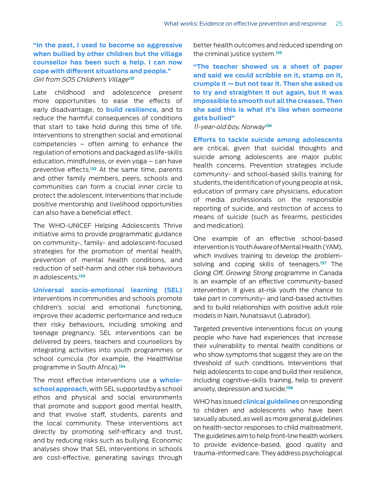# **"In the past, I used to become so aggressive when bullied by other children but the village counsellor has been such a help. I can now cope with different situations and people."** Girl from SOS Children's Village**<sup>131</sup>**

Late childhood and adolescence present more opportunities to ease the effects of early disadvantage, to **build resilience,** and to reduce the harmful consequences of conditions that start to take hold during this time of life. Interventions to strengthen social and emotional competencies – often aiming to enhance the regulation of emotions and packaged as life-skills education, mindfulness, or even yoga – can have preventive effects.**132** At the same time, parents and other family members, peers, schools and communities can form a crucial inner circle to protect the adolescent. Interventions that include positive mentorship and livelihood opportunities can also have a beneficial effect.

The WHO-UNICEF Helping Adolescents Thrive initiative aims to provide programmatic guidance on community-, family- and adolescent-focused strategies for the promotion of mental health, prevention of mental health conditions, and reduction of self-harm and other risk behaviours in adolescents.**<sup>133</sup>**

**Universal socio-emotional learning (SEL)**  interventions in communities and schools promote children's social and emotional functioning, improve their academic performance and reduce their risky behaviours, including smoking and teenage pregnancy. SEL interventions can be delivered by peers, teachers and counsellors by integrating activities into youth programmes or school curricula (for example, the HealthWise programme in South Africa).**<sup>134</sup>**

The most effective interventions use a **wholeschool approach**, with SEL supported by a school ethos and physical and social environments that promote and support good mental health, and that involve staff, students, parents and the local community. These interventions act directly by promoting self-efficacy and trust, and by reducing risks such as bullying. Economic analyses show that SEL interventions in schools are cost-effective, generating savings through

better health outcomes and reduced spending on the criminal justice system.**<sup>135</sup>**

**"The teacher showed us a sheet of paper and said we could scribble on it, stamp on it, crumple it — but not tear it. Then she asked us to try and straighten it out again, but it was impossible to smooth out all the creases. Then she said this is what it's like when someone gets bullied"**

11-year-old boy, Norway**<sup>136</sup>**

**Efforts to tackle suicide among adolescents**  are critical, given that suicidal thoughts and suicide among adolescents are major public health concerns. Prevention strategies include community- and school-based skills training for students, the identification of young people at risk, education of primary care physicians, education of media professionals on the responsible reporting of suicide, and restriction of access to means of suicide (such as firearms, pesticides and medication).

One example of an effective school-based intervention is Youth Aware of Mental Health (YAM), which involves training to develop the problemsolving and coping skills of teenagers.**137** The Going Off, Growing Strong programme in Canada is an example of an effective community-based intervention. It gives at-risk youth the chance to take part in community- and land-based activities and to build relationships with positive adult role models in Nain, Nunatsiavut (Labrador).

Targeted preventive interventions focus on young people who have had experiences that increase their vulnerability to mental health conditions or who show symptoms that suggest they are on the threshold of such conditions. Interventions that help adolescents to cope and build their resilience, including cognitive-skills training, help to prevent anxiety, depression and suicide.**<sup>138</sup>**

WHO has issued **clinical guidelines** on responding to children and adolescents who have been sexually abused, as well as more general guidelines on health-sector responses to child maltreatment. The guidelines aim to help front-line health workers to provide evidence-based, good quality and trauma-informed care. They address psychological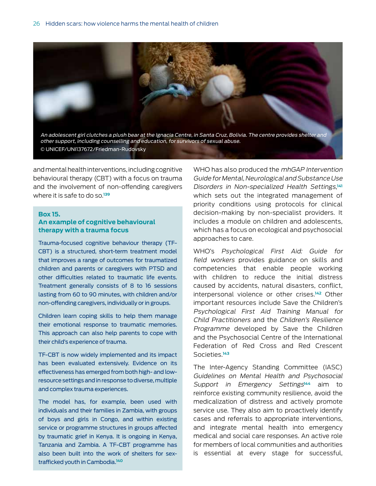

and mental health interventions, including cognitive behavioural therapy (CBT) with a focus on trauma and the involvement of non-offending caregivers where it is safe to do so.**<sup>139</sup>**

#### **Box 15.**

## **An example of cognitive behavioural therapy with a trauma focus**

Trauma-focused cognitive behaviour therapy (TF-CBT) is a structured, short-term treatment model that improves a range of outcomes for traumatized children and parents or caregivers with PTSD and other difficulties related to traumatic life events. Treatment generally consists of 8 to 16 sessions lasting from 60 to 90 minutes, with children and/or non-offending caregivers, individually or in groups.

Children learn coping skills to help them manage their emotional response to traumatic memories. This approach can also help parents to cope with their child's experience of trauma.

TF-CBT is now widely implemented and its impact has been evaluated extensively. Evidence on its effectiveness has emerged from both high- and lowresource settings and in response to diverse, multiple and complex trauma experiences.

The model has, for example, been used with individuals and their families in Zambia, with groups of boys and girls in Congo, and within existing service or programme structures in groups affected by traumatic grief in Kenya. It is ongoing in Kenya, Tanzania and Zambia. A TF-CBT programme has also been built into the work of shelters for sextrafficked youth in Cambodia.**<sup>140</sup>**

WHO has also produced the mhGAP Intervention Guide for Mental, Neurological and Substance Use Disorders in Non-specialized Health Settings, **141** which sets out the integrated management of priority conditions using protocols for clinical decision-making by non-specialist providers. It includes a module on children and adolescents, which has a focus on ecological and psychosocial approaches to care.

WHO's Psychological First Aid: Guide for field workers provides guidance on skills and competencies that enable people working with children to reduce the initial distress caused by accidents, natural disasters, conflict, interpersonal violence or other crises.**142** Other important resources include Save the Children's Psychological First Aid Training Manual for Child Practitioners and the Children's Resilience Programme developed by Save the Children and the Psychosocial Centre of the International Federation of Red Cross and Red Crescent Societies.**<sup>143</sup>**

The Inter-Agency Standing Committee (IASC) Guidelines on Mental Health and Psychosocial Support in Emergency Settings<sup>144</sup> aim to reinforce existing community resilience, avoid the medicalization of distress and actively promote service use. They also aim to proactively identify cases and referrals to appropriate interventions, and integrate mental health into emergency medical and social care responses. An active role for members of local communities and authorities is essential at every stage for successful,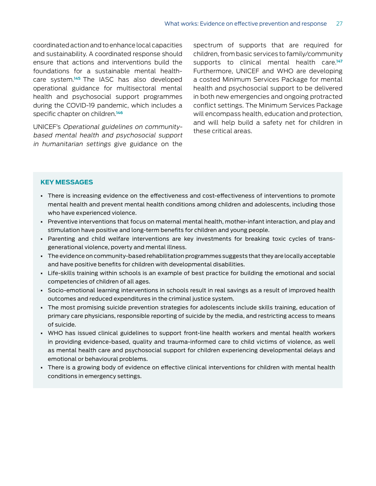coordinated action and to enhance local capacities and sustainability. A coordinated response should ensure that actions and interventions build the foundations for a sustainable mental healthcare system.**145** The IASC has also developed operational guidance for multisectoral mental health and psychosocial support programmes during the COVID-19 pandemic, which includes a specific chapter on children.**<sup>146</sup>**

UNICEF's Operational guidelines on communitybased mental health and psychosocial support in humanitarian settings give guidance on the

spectrum of supports that are required for children, from basic services to family/community supports to clinical mental health care.**<sup>147</sup>** Furthermore, UNICEF and WHO are developing a costed Minimum Services Package for mental health and psychosocial support to be delivered in both new emergencies and ongoing protracted conflict settings. The Minimum Services Package will encompass health, education and protection, and will help build a safety net for children in these critical areas.

# **KEY MESSAGES**

- There is increasing evidence on the effectiveness and cost-effectiveness of interventions to promote mental health and prevent mental health conditions among children and adolescents, including those who have experienced violence.
- Preventive interventions that focus on maternal mental health, mother-infant interaction, and play and stimulation have positive and long-term benefits for children and young people.
- Parenting and child welfare interventions are key investments for breaking toxic cycles of transgenerational violence, poverty and mental illness.
- The evidence on community-based rehabilitation programmes suggests that they are locally acceptable and have positive benefits for children with developmental disabilities.
- Life-skills training within schools is an example of best practice for building the emotional and social competencies of children of all ages.
- Socio-emotional learning interventions in schools result in real savings as a result of improved health outcomes and reduced expenditures in the criminal justice system.
- The most promising suicide prevention strategies for adolescents include skills training, education of primary care physicians, responsible reporting of suicide by the media, and restricting access to means of suicide.
- WHO has issued clinical guidelines to support front-line health workers and mental health workers in providing evidence-based, quality and trauma-informed care to child victims of violence, as well as mental health care and psychosocial support for children experiencing developmental delays and emotional or behavioural problems.
- There is a growing body of evidence on effective clinical interventions for children with mental health conditions in emergency settings.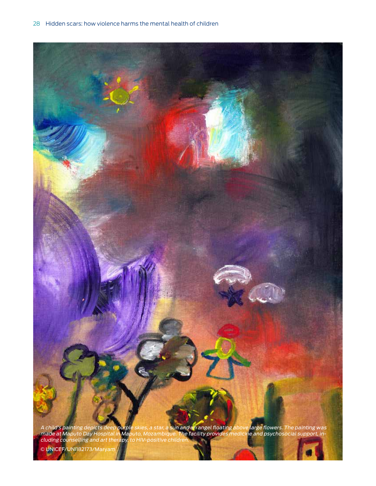

© UNICEF/UNI182173/Maryam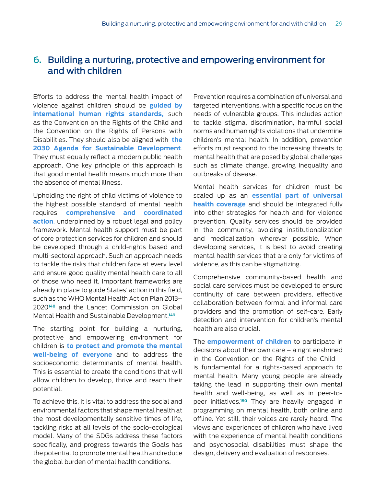# 6. Building a nurturing, protective and empowering environment for and with children

Efforts to address the mental health impact of violence against children should be **guided by international human rights standards,** such as the Convention on the Rights of the Child and the Convention on the Rights of Persons with Disabilities. They should also be aligned with **the 2030 Agenda for Sustainable Development**. They must equally reflect a modern public health approach. One key principle of this approach is that good mental health means much more than the absence of mental illness.

Upholding the right of child victims of violence to the highest possible standard of mental health requires **comprehensive and coordinated action**, underpinned by a robust legal and policy framework. Mental health support must be part of core protection services for children and should be developed through a child-rights based and multi-sectoral approach. Such an approach needs to tackle the risks that children face at every level and ensure good quality mental health care to all of those who need it. Important frameworks are already in place to guide States' action in this field, such as the WHO Mental Health Action Plan 2013– 2020**<sup>148</sup>** and the Lancet Commission on Global Mental Health and Sustainable Development. **149**

The starting point for building a nurturing, protective and empowering environment for children is **to protect and promote the mental well-being of everyone** and to address the socioeconomic determinants of mental health. This is essential to create the conditions that will allow children to develop, thrive and reach their potential.

To achieve this, it is vital to address the social and environmental factors that shape mental health at the most developmentally sensitive times of life, tackling risks at all levels of the socio-ecological model. Many of the SDGs address these factors specifically, and progress towards the Goals has the potential to promote mental health and reduce the global burden of mental health conditions.

Prevention requires a combination of universal and targeted interventions, with a specific focus on the needs of vulnerable groups. This includes action to tackle stigma, discrimination, harmful social norms and human rights violations that undermine children's mental health. In addition, prevention efforts must respond to the increasing threats to mental health that are posed by global challenges such as climate change, growing inequality and outbreaks of disease.

Mental health services for children must be scaled up as an **essential part of universal health coverage** and should be integrated fully into other strategies for health and for violence prevention. Quality services should be provided in the community, avoiding institutionalization and medicalization wherever possible. When developing services, it is best to avoid creating mental health services that are only for victims of violence, as this can be stigmatizing.

Comprehensive community-based health and social care services must be developed to ensure continuity of care between providers, effective collaboration between formal and informal care providers and the promotion of self-care. Early detection and intervention for children's mental health are also crucial.

The **empowerment of children** to participate in decisions about their own care – a right enshrined in the Convention on the Rights of the Child – is fundamental for a rights-based approach to mental health. Many young people are already taking the lead in supporting their own mental health and well-being, as well as in peer-topeer initiatives.**150** They are heavily engaged in programming on mental health, both online and offline. Yet still, their voices are rarely heard. The views and experiences of children who have lived with the experience of mental health conditions and psychosocial disabilities must shape the design, delivery and evaluation of responses.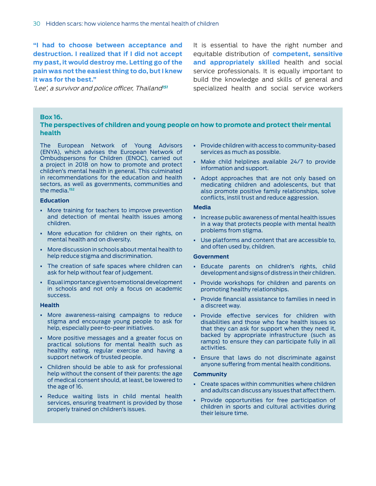**"I had to choose between acceptance and destruction. I realized that if I did not accept my past, it would destroy me. Letting go of the pain was not the easiest thing to do, but I knew it was for the best."**

'Lee', a survivor and police officer, Thailand**<sup>151</sup>**

It is essential to have the right number and equitable distribution of **competent, sensitive and appropriately skilled** health and social service professionals. It is equally important to build the knowledge and skills of general and specialized health and social service workers

#### **Box 16.**

# **The perspectives of children and young people on how to promote and protect their mental health**

The European Network of Young Advisors (ENYA), which advises the European Network of Ombudspersons for Children (ENOC), carried out a project in 2018 on how to promote and protect children's mental health in general. This culminated in recommendations for the education and health sectors, as well as governments, communities and the media.**<sup>152</sup>**

#### **Education**

- More training for teachers to improve prevention and detection of mental health issues among children.
- More education for children on their rights, on mental health and on diversity.
- More discussion in schools about mental health to help reduce stigma and discrimination.
- The creation of safe spaces where children can ask for help without fear of judgement.
- Equal importance given to emotional development in schools and not only a focus on academic success.

#### **Health**

- More awareness-raising campaigns to reduce stigma and encourage young people to ask for help, especially peer-to-peer initiatives.
- More positive messages and a greater focus on practical solutions for mental health such as healthy eating, regular exercise and having a support network of trusted people.
- Children should be able to ask for professional help without the consent of their parents: the age of medical consent should, at least, be lowered to the age of 16.
- Reduce waiting lists in child mental health services, ensuring treatment is provided by those properly trained on children's issues.
- Provide children with access to community-based services as much as possible.
- Make child helplines available 24/7 to provide information and support.
- Adopt approaches that are not only based on medicating children and adolescents, but that also promote positive family relationships, solve conflicts, instil trust and reduce aggression.

#### **Media**

- Increase public awareness of mental health issues in a way that protects people with mental health problems from stigma.
- Use platforms and content that are accessible to, and often used by, children.

#### **Government**

- Educate parents on children's rights, child development and signs of distress in their children.
- Provide workshops for children and parents on promoting healthy relationships.
- Provide financial assistance to families in need in a discreet way.
- Provide effective services for children with disabilities and those who face health issues so that they can ask for support when they need it, backed by appropriate infrastructure (such as ramps) to ensure they can participate fully in all activities.
- Ensure that laws do not discriminate against anyone suffering from mental health conditions.

#### **Community**

- Create spaces within communities where children and adults can discuss any issues that affect them.
- Provide opportunities for free participation of children in sports and cultural activities during their leisure time.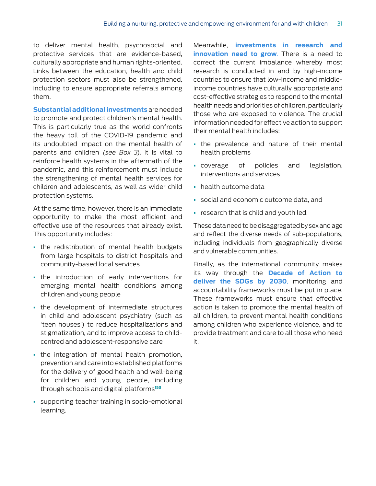to deliver mental health, psychosocial and protective services that are evidence-based, culturally appropriate and human rights-oriented. Links between the education, health and child protection sectors must also be strengthened, including to ensure appropriate referrals among them.

**Substantial additional investments** are needed to promote and protect children's mental health. This is particularly true as the world confronts the heavy toll of the COVID-19 pandemic and its undoubted impact on the mental health of parents and children (see Box 3). It is vital to reinforce health systems in the aftermath of the pandemic, and this reinforcement must include the strengthening of mental health services for children and adolescents, as well as wider child protection systems.

At the same time, however, there is an immediate opportunity to make the most efficient and effective use of the resources that already exist. This opportunity includes:

- the redistribution of mental health budgets from large hospitals to district hospitals and community-based local services
- the introduction of early interventions for emerging mental health conditions among children and young people
- the development of intermediate structures in child and adolescent psychiatry (such as 'teen houses') to reduce hospitalizations and stigmatization, and to improve access to childcentred and adolescent-responsive care
- the integration of mental health promotion, prevention and care into established platforms for the delivery of good health and well-being for children and young people, including through schools and digital platforms**<sup>153</sup>**
- supporting teacher training in socio-emotional learning.

Meanwhile, **investments in research and innovation need to grow**. There is a need to correct the current imbalance whereby most research is conducted in and by high-income countries to ensure that low-income and middleincome countries have culturally appropriate and cost-effective strategies to respond to the mental health needs and priorities of children, particularly those who are exposed to violence. The crucial information needed for effective action to support their mental health includes:

- the prevalence and nature of their mental health problems
- coverage of policies and legislation, interventions and services
- health outcome data
- social and economic outcome data, and
- research that is child and youth led.

These data need to be disaggregated by sex and age and reflect the diverse needs of sub-populations, including individuals from geographically diverse and vulnerable communities.

Finally, as the international community makes its way through the **Decade of Action to deliver the SDGs by 2030**, monitoring and accountability frameworks must be put in place. These frameworks must ensure that effective action is taken to promote the mental health of all children, to prevent mental health conditions among children who experience violence, and to provide treatment and care to all those who need it.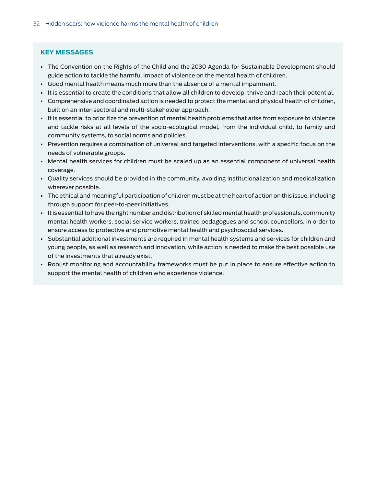# **KEY MESSAGES**

- The Convention on the Rights of the Child and the 2030 Agenda for Sustainable Development should guide action to tackle the harmful impact of violence on the mental health of children.
- Good mental health means much more than the absence of a mental impairment.
- It is essential to create the conditions that allow all children to develop, thrive and reach their potential.
- Comprehensive and coordinated action is needed to protect the mental and physical health of children, built on an inter-sectoral and multi-stakeholder approach.
- It is essential to prioritize the prevention of mental health problems that arise from exposure to violence and tackle risks at all levels of the socio-ecological model, from the individual child, to family and community systems, to social norms and policies.
- Prevention requires a combination of universal and targeted interventions, with a specific focus on the needs of vulnerable groups.
- Mental health services for children must be scaled up as an essential component of universal health coverage.
- Quality services should be provided in the community, avoiding institutionalization and medicalization wherever possible.
- The ethical and meaningful participation of children must be at the heart of action on this issue, including through support for peer-to-peer initiatives.
- It is essential to have the right number and distribution of skilled mental health professionals, community mental health workers, social service workers, trained pedagogues and school counsellors, in order to ensure access to protective and promotive mental health and psychosocial services.
- Substantial additional investments are required in mental health systems and services for children and young people, as well as research and innovation, while action is needed to make the best possible use of the investments that already exist.
- Robust monitoring and accountability frameworks must be put in place to ensure effective action to support the mental health of children who experience violence.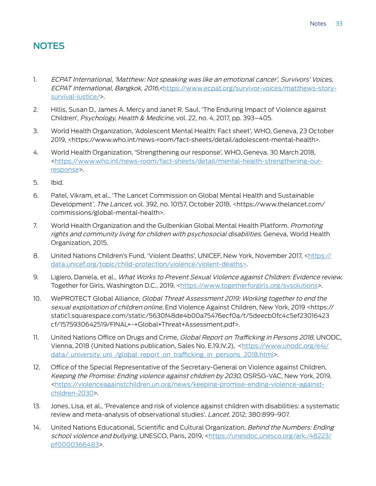# NOTES

- 1. ECPAT International, 'Matthew: Not speaking was like an emotional cancer', Survivors' Voices, ECPAT International, Bangkok, 2016,<https://www.ecpat.org/survivor-voices/matthews-storysurvival-justice/>.
- 2. Hillis, Susan D., James A. Mercy and Janet R. Saul, 'The Enduring Impact of Violence against Children', Psychology, Health & Medicine, vol. 22, no. 4, 2017, pp. 393–405.
- 3. World Health Organization, 'Adolescent Mental Health: Fact sheet', WHO, Geneva, 23 October 2019, <https://www.who.int/news-room/fact-sheets/detail/adolescent-mental-health>.
- 4. World Health Organization, 'Strengthening our response', WHO, Geneva, 30 March 2018, <https://www.who.int/news-room/fact-sheets/detail/mental-health-strengthening-ourresponse>.
- 5. Ibid.
- 6. Patel, Vikram, et al., 'The Lancet Commission on Global Mental Health and Sustainable Development', The Lancet, vol. 392, no. 10157, October 2018, <https://www.thelancet.com/ commissions/global-mental-health>.
- 7. World Health Organization and the Gulbenkian Global Mental Health Platform. Promoting rights and community living for children with psychosocial disabilities. Geneva, World Health Organization, 2015.
- 8. United Nations Children's Fund, 'Violent Deaths', UNICEF, New York, November 2017, <https:// data.unicef.org/topic/child-protection/violence/violent-deaths>.
- 9. Ligiero, Daniela, et al., What Works to Prevent Sexual Violence against Children: Evidence review, Together for Girls, Washington D.C., 2019, <https://www.togetherforgirls.org/svsolutions>.
- 10. WePROTECT Global Alliance, Global Threat Assessment 2019: Working together to end the sexual exploitation of children online, End Violence Against Children, New York, 2019 <https:// static1.squarespace.com/static/5630f48de4b00a75476ecf0a/t/5deecb0fc4c5ef23016423 cf/1575930642519/FINAL+-+Global+Threat+Assessment.pdf>.
- 11. United Nations Office on Drugs and Crime, Global Report on Trafficking in Persons 2018, UNODC, Vienna, 2018 (United Nations publication, Sales No. E.19.IV.2), <https://www.unodc.org/e4j/ data/\_university\_uni\_/global\_report\_on\_trafficking\_in\_persons\_2018.html>.
- 12. Office of the Special Representative of the Secretary-General on Violence against Children, Keeping the Promise: Ending violence against children by 2030, OSRSG-VAC, New York, 2019, <https://violenceagainstchildren.un.org/news/keeping-promise-ending-violence-againstchildren-2030>.
- 13. Jones, Lisa, et al., 'Prevalence and risk of violence against children with disabilities: a systematic review and meta-analysis of observational studies'. Lancet. 2012; 380:899-907.
- 14. United Nations Educational, Scientific and Cultural Organization, *Behind the Numbers: Ending* school violence and bullying, UNESCO, Paris, 2019, <https://unesdoc.unesco.org/ark:/48223/ pf0000366483>.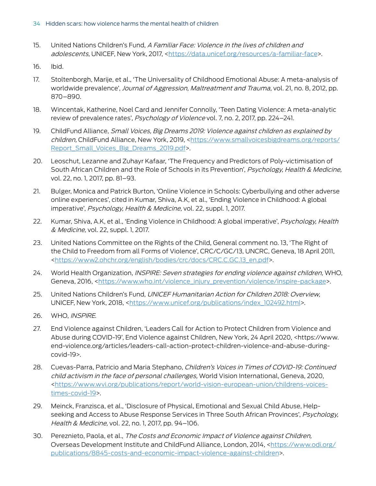- 15. United Nations Children's Fund, A Familiar Face: Violence in the lives of children and adolescents, UNICEF, New York, 2017, <https://data.unicef.org/resources/a-familiar-face>.
- 16. Ibid.
- 17. Stoltenborgh, Marije, et al., 'The Universality of Childhood Emotional Abuse: A meta-analysis of worldwide prevalence', Journal of Aggression, Maltreatment and Trauma, vol. 21, no. 8, 2012, pp. 870–890.
- 18. Wincentak, Katherine, Noel Card and Jennifer Connolly, 'Teen Dating Violence: A meta-analytic review of prevalence rates', Psychology of Violence vol. 7, no. 2, 2017, pp. 224–241.
- 19. ChildFund Alliance, Small Voices, Big Dreams 2019: Violence against children as explained by children, ChildFund Alliance, New York, 2019, <https://www.smallvoicesbigdreams.org/reports/ Report\_Small\_Voices\_Big\_Dreams\_2019.pdf>.
- 20. Leoschut, Lezanne and Zuhayr Kafaar, 'The Frequency and Predictors of Poly-victimisation of South African Children and the Role of Schools in its Prevention', Psychology, Health & Medicine, vol. 22, no. 1, 2017, pp. 81–93.
- 21. Bulger, Monica and Patrick Burton, 'Online Violence in Schools: Cyberbullying and other adverse online experiences', cited in Kumar, Shiva, A.K, et al., 'Ending Violence in Childhood: A global imperative', Psychology, Health & Medicine, vol. 22, suppl. 1, 2017.
- 22. Kumar, Shiva, A.K, et al., 'Ending Violence in Childhood: A global imperative', Psychology, Health & Medicine, vol. 22, suppl. 1, 2017.
- 23. United Nations Committee on the Rights of the Child, General comment no. 13, 'The Right of the Child to Freedom from all Forms of Violence', CRC/C/GC/13, UNCRC, Geneva, 18 April 2011, <https://www2.ohchr.org/english/bodies/crc/docs/CRC.C.GC.13\_en.pdf>.
- 24. World Health Organization, INSPIRE: Seven strategies for ending violence against children, WHO, Geneva, 2016, <https://www.who.int/violence\_injury\_prevention/violence/inspire-package>.
- 25. United Nations Children's Fund, UNICEF Humanitarian Action for Children 2018: Overview, UNICEF, New York, 2018, <https://www.unicef.org/publications/index\_102492.html>.
- 26. WHO, INSPIRE.
- 27. End Violence against Children, 'Leaders Call for Action to Protect Children from Violence and Abuse during COVID-19', End Violence against Children, New York, 24 April 2020, <https://www. end-violence.org/articles/leaders-call-action-protect-children-violence-and-abuse-duringcovid-19>.
- 28. Cuevas-Parra, Patricio and Maria Stephano, Children's Voices in Times of COVID-19: Continued child activism in the face of personal challenges, World Vision International, Geneva, 2020, <https://www.wvi.org/publications/report/world-vision-european-union/childrens-voicestimes-covid-19>.
- 29. Meinck, Franzisca, et al., 'Disclosure of Physical, Emotional and Sexual Child Abuse, Helpseeking and Access to Abuse Response Services in Three South African Provinces', Psychology, Health & Medicine, vol. 22, no. 1, 2017, pp. 94–106.
- 30. Pereznieto, Paola, et al., The Costs and Economic Impact of Violence against Children, Overseas Development Institute and ChildFund Alliance, London, 2014, <https://www.odi.org/ publications/8845-costs-and-economic-impact-violence-against-children>.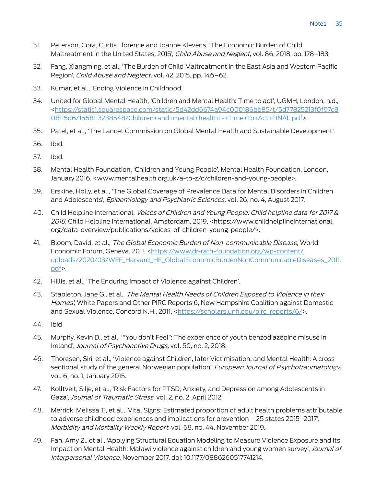- 31. Peterson, Cora, Curtis Florence and Joanne Klevens, 'The Economic Burden of Child Maltreatment in the United States, 2015', *Child Abuse and Neglect*, vol. 86, 2018, pp. 178–183.
- 32. Fang, Xiangming, et al., 'The Burden of Child Maltreatment in the East Asia and Western Pacific Region', Child Abuse and Neglect, vol. 42, 2015, pp. 146–62.
- 33. Kumar, et al., 'Ending Violence in Childhood'.
- 34. United for Global Mental Health, 'Children and Mental Health: Time to act', UGMH, London, n.d., <https://static1.squarespace.com/static/5d42dd6674a94c000186bb85/t/5d77825213f0f97c8 08115d6/1568113238548/Children+and+mental+health+-+Time+To+Act+FINAL.pdf>.
- 35. Patel, et al., 'The Lancet Commission on Global Mental Health and Sustainable Development'.
- 36. Ibid.
- 37. Ibid.
- 38. Mental Health Foundation, 'Children and Young People', Mental Health Foundation, London, January 2016, <www.mentalhealth.org.uk/a-to-z/c/children-and-young-people>.
- 39. Erskine, Holly, et al., 'The Global Coverage of Prevalence Data for Mental Disorders in Children and Adolescents', Epidemiology and Psychiatric Sciences, vol. 26, no. 4, August 2017.
- 40. Child Helpline International, Voices of Children and Young People: Child helpline data for 2017 & 2018, Child Helpline International, Amsterdam, 2019, <https://www.childhelplineinternational. org/data-overview/publications/voices-of-children-young-people/>.
- 41. Bloom, David, et al., The Global Economic Burden of Non-communicable Disease, World Economic Forum, Geneva, 2011, <https://www.dr-rath-foundation.org/wp-content/ uploads/2020/03/WEF\_Harvard\_HE\_GlobalEconomicBurdenNonCommunicableDiseases\_2011. pdf>.
- 42. Hillis, et al., 'The Enduring Impact of Violence against Children'.
- 43. Stapleton, Jane G., et al., The Mental Health Needs of Children Exposed to Violence in their Homes', White Papers and Other PIRC Reports 6, New Hampshire Coalition against Domestic and Sexual Violence, Concord N.H., 2011, <https://scholars.unh.edu/pirc\_reports/6/>.
- 44. Ibid
- 45. Murphy, Kevin D., et al., '"You don't Feel": The experience of youth benzodiazepine misuse in Ireland', Journal of Psychoactive Drugs, vol. 50, no. 2, 2018.
- 46. Thoresen, Siri, et al., 'Violence against Children, later Victimisation, and Mental Health: A crosssectional study of the general Norwegian population', *European Journal of Psychotraumatology*, vol. 6, no. 1, January 2015.
- 47. Kolltveit, Silje, et al., 'Risk Factors for PTSD, Anxiety, and Depression among Adolescents in Gaza', Journal of Traumatic Stress, vol. 2, no. 2, April 2012.
- 48. Merrick, Melissa T., et al., 'Vital Signs: Estimated proportion of adult health problems attributable to adverse childhood experiences and implications for prevention – 25 states 2015–2017', Morbidity and Mortality Weekly Report, vol. 68, no. 44, November 2019.
- 49. Fan, Amy Z., et al., 'Applying Structural Equation Modeling to Measure Violence Exposure and Its Impact on Mental Health: Malawi violence against children and young women survey', Journal of Interpersonal Violence, November 2017, doi: 10.1177/0886260517741214.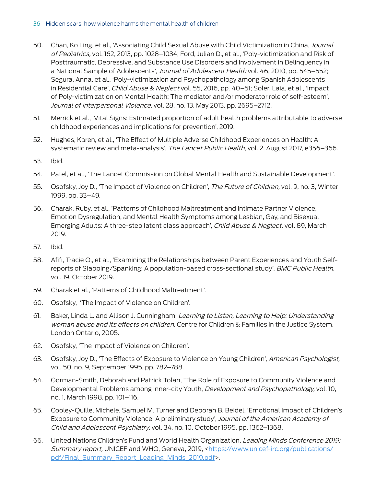# 36 Hidden scars: how violence harms the mental health of children

- 50. Chan, Ko Ling, et al., 'Associating Child Sexual Abuse with Child Victimization in China, Journal of Pediatrics, vol. 162, 2013, pp. 1028–1034; Ford, Julian D., et al., 'Poly-victimization and Risk of Posttraumatic, Depressive, and Substance Use Disorders and Involvement in Delinquency in a National Sample of Adolescents', Journal of Adolescent Health vol. 46, 2010, pp. 545-552; Segura, Anna, et al., 'Poly-victimization and Psychopathology among Spanish Adolescents in Residential Care', *Child Abuse & Neglect* vol. 55, 2016, pp. 40–51; Soler, Laia, et al., 'Impact of Poly-victimization on Mental Health: The mediator and/or moderator role of self-esteem', Journal of Interpersonal Violence, vol. 28, no. 13, May 2013, pp. 2695–2712.
- 51. Merrick et al., 'Vital Signs: Estimated proportion of adult health problems attributable to adverse childhood experiences and implications for prevention', 2019.
- 52. Hughes, Karen, et al., 'The Effect of Multiple Adverse Childhood Experiences on Health: A systematic review and meta-analysis', The Lancet Public Health, vol. 2, August 2017, e356-366.
- 53. Ibid.
- 54. Patel, et al., 'The Lancet Commission on Global Mental Health and Sustainable Development'.
- 55. Osofsky, Joy D., 'The Impact of Violence on Children', The Future of Children, vol. 9, no. 3, Winter 1999, pp. 33–49.
- 56. Charak, Ruby, et al., 'Patterns of Childhood Maltreatment and Intimate Partner Violence, Emotion Dysregulation, and Mental Health Symptoms among Lesbian, Gay, and Bisexual Emerging Adults: A three-step latent class approach', Child Abuse & Neglect, vol. 89, March 2019.
- 57. Ibid.
- 58. Afifi, Tracie O., et al., 'Examining the Relationships between Parent Experiences and Youth Selfreports of Slapping/Spanking: A population-based cross-sectional study', BMC Public Health, vol. 19, October 2019.
- 59. Charak et al., 'Patterns of Childhood Maltreatment'.
- 60. Osofsky, 'The Impact of Violence on Children'.
- 61. Baker, Linda L. and Allison J. Cunningham, Learning to Listen, Learning to Help: Understanding woman abuse and its effects on children, Centre for Children & Families in the Justice System, London Ontario, 2005.
- 62. Osofsky, 'The Impact of Violence on Children'.
- 63. Osofsky, Joy D., 'The Effects of Exposure to Violence on Young Children', American Psychologist, vol. 50, no. 9, September 1995, pp. 782–788.
- 64. Gorman-Smith, Deborah and Patrick Tolan, 'The Role of Exposure to Community Violence and Developmental Problems among Inner-city Youth, *Development and Psychopathology*, vol. 10, no. 1, March 1998, pp. 101–116.
- 65. Cooley-Quille, Michele, Samuel M. Turner and Deborah B. Beidel, 'Emotional Impact of Children's Exposure to Community Violence: A preliminary study', Journal of the American Academy of Child and Adolescent Psychiatry, vol. 34, no. 10, October 1995, pp. 1362–1368.
- 66. United Nations Children's Fund and World Health Organization, Leading Minds Conference 2019: Summary report, UNICEF and WHO, Geneva, 2019, <https://www.unicef-irc.org/publications/ pdf/Final\_Summary\_Report\_Leading\_Minds\_2019.pdf>.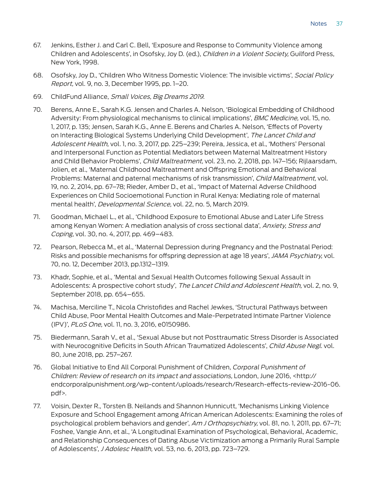- 67. Jenkins, Esther J. and Carl C. Bell, 'Exposure and Response to Community Violence among Children and Adolescents', in Osofsky, Joy D. (ed.), Children in a Violent Society, Guilford Press, New York, 1998.
- 68. Osofsky, Joy D., 'Children Who Witness Domestic Violence: The invisible victims', Social Policy Report, vol. 9, no. 3, December 1995, pp. 1–20.
- 69. ChildFund Alliance, Small Voices, Big Dreams 2019.
- 70. Berens, Anne E., Sarah K.G. Jensen and Charles A. Nelson, 'Biological Embedding of Childhood Adversity: From physiological mechanisms to clinical implications', BMC Medicine, vol. 15, no. 1, 2017, p. 135; Jensen, Sarah K.G., Anne E. Berens and Charles A. Nelson, 'Effects of Poverty on Interacting Biological Systems Underlying Child Development', The Lancet Child and Adolescent Health, vol. 1, no. 3, 2017, pp. 225–239; Pereira, Jessica, et al., 'Mothers' Personal and Interpersonal Function as Potential Mediators between Maternal Maltreatment History and Child Behavior Problems', Child Maltreatment, vol. 23, no. 2, 2018, pp. 147–156; Rijlaarsdam, Jolien, et al., 'Maternal Childhood Maltreatment and Offspring Emotional and Behavioral Problems: Maternal and paternal mechanisms of risk transmission', Child Maltreatment, vol. 19, no. 2, 2014, pp. 67–78; Rieder, Amber D., et al., 'Impact of Maternal Adverse Childhood Experiences on Child Socioemotional Function in Rural Kenya: Mediating role of maternal mental health', Developmental Science, vol. 22, no. 5, March 2019.
- 71. Goodman, Michael L., et al., 'Childhood Exposure to Emotional Abuse and Later Life Stress among Kenyan Women: A mediation analysis of cross sectional data', Anxiety, Stress and Coping, vol. 30, no. 4, 2017, pp. 469–483.
- 72. Pearson, Rebecca M., et al., 'Maternal Depression during Pregnancy and the Postnatal Period: Risks and possible mechanisms for offspring depression at age 18 years', JAMA Psychiatry, vol. 70, no. 12, December 2013, pp.1312–1319.
- 73. Khadr, Sophie, et al., 'Mental and Sexual Health Outcomes following Sexual Assault in Adolescents: A prospective cohort study', The Lancet Child and Adolescent Health, vol. 2, no. 9, September 2018, pp. 654–655.
- 74. Machisa, Merciline T., Nicola Christofides and Rachel Jewkes, 'Structural Pathways between Child Abuse, Poor Mental Health Outcomes and Male-Perpetrated Intimate Partner Violence (IPV)', PLoS One, vol. 11, no. 3, 2016, e0150986.
- 75. Biedermann, Sarah V., et al., 'Sexual Abuse but not Posttraumatic Stress Disorder is Associated with Neurocognitive Deficits in South African Traumatized Adolescents', Child Abuse Negl. vol. 80, June 2018, pp. 257–267.
- 76. Global Initiative to End All Corporal Punishment of Children, Corporal Punishment of Children: Review of research on its impact and associations, London, June 2016, <http:// endcorporalpunishment.org/wp-content/uploads/research/Research-effects-review-2016-06. pdf>.
- 77. Voisin, Dexter R., Torsten B. Neilands and Shannon Hunnicutt, 'Mechanisms Linking Violence Exposure and School Engagement among African American Adolescents: Examining the roles of psychological problem behaviors and gender', Am J Orthopsychiatry, vol. 81, no. 1, 2011, pp. 67–71; Foshee, Vangie Ann, et al., 'A Longitudinal Examination of Psychological, Behavioral, Academic, and Relationship Consequences of Dating Abuse Victimization among a Primarily Rural Sample of Adolescents', J Adolesc Health, vol. 53, no. 6, 2013, pp. 723–729.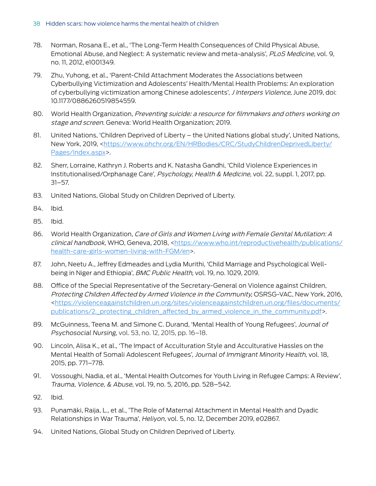- 78. Norman, Rosana E., et al., 'The Long-Term Health Consequences of Child Physical Abuse, Emotional Abuse, and Neglect: A systematic review and meta-analysis', PLoS Medicine, vol. 9, no. 11, 2012, e1001349.
- 79. Zhu, Yuhong, et al., 'Parent-Child Attachment Moderates the Associations between Cyberbullying Victimization and Adolescents' Health/Mental Health Problems: An exploration of cyberbullying victimization among Chinese adolescents', *J Interpers Violence*, June 2019, doi: 10.1177/0886260519854559.
- 80. World Health Organization, Preventing suicide: a resource for filmmakers and others working on stage and screen. Geneva: World Health Organization; 2019.
- 81. United Nations, 'Children Deprived of Liberty the United Nations global study', United Nations, New York, 2019, <https://www.ohchr.org/EN/HRBodies/CRC/StudyChildrenDeprivedLiberty/ Pages/Index.aspx>.
- 82. Sherr, Lorraine, Kathryn J. Roberts and K. Natasha Gandhi, 'Child Violence Experiences in Institutionalised/Orphanage Care', Psychology, Health & Medicine, vol. 22, suppl. 1, 2017, pp. 31–57.
- 83. United Nations, Global Study on Children Deprived of Liberty.
- 84. Ibid.
- 85. Ibid.
- 86. World Health Organization, Care of Girls and Women Living with Female Genital Mutilation: A clinical handbook, WHO, Geneva, 2018, <https://www.who.int/reproductivehealth/publications/ health-care-girls-women-living-with-FGM/en>.
- 87. John, Neetu A., Jeffrey Edmeades and Lydia Murithi, 'Child Marriage and Psychological Wellbeing in Niger and Ethiopia', BMC Public Health, vol. 19, no. 1029, 2019.
- 88. Office of the Special Representative of the Secretary-General on Violence against Children, Protecting Children Affected by Armed Violence in the Community, OSRSG-VAC, New York, 2016, <https://violenceagainstchildren.un.org/sites/violenceagainstchildren.un.org/files/documents/ publications/2. protecting children affected by armed violence in the community.pdf>.
- 89. McGuinness, Teena M. and Simone C. Durand, 'Mental Health of Young Refugees', Journal of Psychosocial Nursing, vol. 53, no. 12, 2015, pp. 16–18.
- 90. Lincoln, Alisa K., et al., 'The Impact of Acculturation Style and Acculturative Hassles on the Mental Health of Somali Adolescent Refugees', Journal of Immigrant Minority Health, vol. 18, 2015, pp. 771–778.
- 91. Vossoughi, Nadia, et al., 'Mental Health Outcomes for Youth Living in Refugee Camps: A Review', Trauma, Violence, & Abuse, vol. 19, no. 5, 2016, pp. 528–542.
- 92. Ibid.
- 93. Punamäki, Raija, L., et al., 'The Role of Maternal Attachment in Mental Health and Dyadic Relationships in War Trauma', Heliyon, vol. 5, no. 12, December 2019, e02867.
- 94. United Nations, Global Study on Children Deprived of Liberty.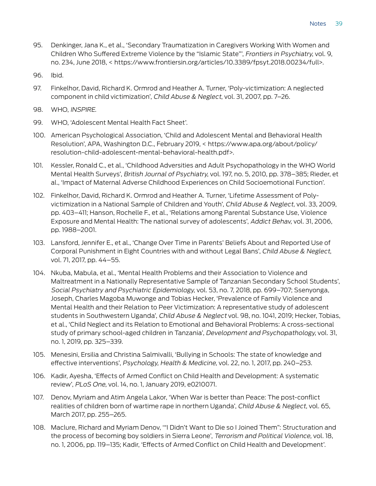- 95. Denkinger, Jana K., et al., 'Secondary Traumatization in Caregivers Working With Women and Children Who Suffered Extreme Violence by the "Islamic State"', Frontiers in Psychiatry, vol. 9, no. 234, June 2018, < https://www.frontiersin.org/articles/10.3389/fpsyt.2018.00234/full>.
- 96. Ibid.
- 97. Finkelhor, David, Richard K. Ormrod and Heather A. Turner, 'Poly-victimization: A neglected component in child victimization', Child Abuse & Neglect, vol. 31, 2007, pp. 7–26.
- 98. WHO, INSPIRE.
- 99. WHO, 'Adolescent Mental Health Fact Sheet'.
- 100. American Psychological Association, 'Child and Adolescent Mental and Behavioral Health Resolution', APA, Washington D.C., February 2019, < https://www.apa.org/about/policy/ resolution-child-adolescent-mental-behavioral-health.pdf>.
- 101. Kessler, Ronald C., et al., 'Childhood Adversities and Adult Psychopathology in the WHO World Mental Health Surveys', British Journal of Psychiatry, vol. 197, no. 5, 2010, pp. 378–385; Rieder, et al., 'Impact of Maternal Adverse Childhood Experiences on Child Socioemotional Function'.
- 102. Finkelhor, David, Richard K. Ormrod and Heather A. Turner, 'Lifetime Assessment of Polyvictimization in a National Sample of Children and Youth', Child Abuse & Neglect, vol. 33, 2009, pp. 403–411; Hanson, Rochelle F., et al., 'Relations among Parental Substance Use, Violence Exposure and Mental Health: The national survey of adolescents', Addict Behav, vol. 31, 2006, pp. 1988–2001.
- 103. Lansford, Jennifer E., et al., 'Change Over Time in Parents' Beliefs About and Reported Use of Corporal Punishment in Eight Countries with and without Legal Bans', Child Abuse & Neglect, vol. 71, 2017, pp. 44–55.
- 104. Nkuba, Mabula, et al., 'Mental Health Problems and their Association to Violence and Maltreatment in a Nationally Representative Sample of Tanzanian Secondary School Students', Social Psychiatry and Psychiatric Epidemiology, vol. 53, no. 7, 2018, pp. 699–707; Ssenyonga, Joseph, Charles Magoba Muwonge and Tobias Hecker, 'Prevalence of Family Violence and Mental Health and their Relation to Peer Victimization: A representative study of adolescent students in Southwestern Uganda', Child Abuse & Neglect vol. 98, no. 1041, 2019; Hecker, Tobias, et al., 'Child Neglect and its Relation to Emotional and Behavioral Problems: A cross-sectional study of primary school-aged children in Tanzania', Development and Psychopathology, vol. 31, no. 1, 2019, pp. 325–339.
- 105. Menesini, Ersilia and Christina Salmivalli, 'Bullying in Schools: The state of knowledge and effective interventions', Psychology, Health & Medicine, vol. 22, no. 1, 2017, pp. 240–253.
- 106. Kadir, Ayesha, 'Effects of Armed Conflict on Child Health and Development: A systematic review', PLoS One, vol. 14, no. 1, January 2019, e0210071.
- 107. Denov, Myriam and Atim Angela Lakor, 'When War is better than Peace: The post-conflict realities of children born of wartime rape in northern Uganda', Child Abuse & Neglect, vol. 65, March 2017, pp. 255–265.
- 108. Maclure, Richard and Myriam Denov, '"I Didn't Want to Die so I Joined Them": Structuration and the process of becoming boy soldiers in Sierra Leone', Terrorism and Political Violence, vol. 18, no. 1, 2006, pp. 119–135; Kadir, 'Effects of Armed Conflict on Child Health and Development'.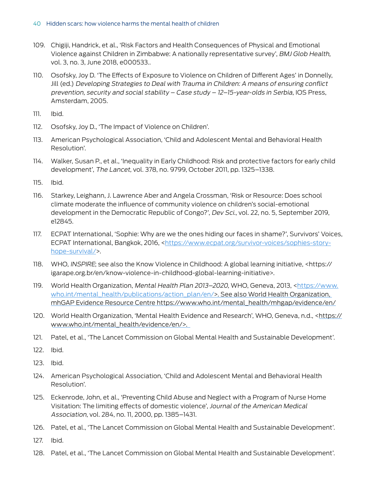- 109. Chigiji, Handrick, et al., 'Risk Factors and Health Consequences of Physical and Emotional Violence against Children in Zimbabwe: A nationally representative survey', BMJ Glob Health, vol. 3, no. 3, June 2018, e000533..
- 110. Osofsky, Joy D. 'The Effects of Exposure to Violence on Children of Different Ages' in Donnelly, Jill (ed.) Developing Strategies to Deal with Trauma in Children: A means of ensuring conflict prevention, security and social stability – Case study – 12–15-year-olds in Serbia, IOS Press, Amsterdam, 2005.
- 111. Ibid.
- 112. Osofsky, Joy D., 'The Impact of Violence on Children'.
- 113. American Psychological Association, 'Child and Adolescent Mental and Behavioral Health Resolution'.
- 114. Walker, Susan P., et al., 'Inequality in Early Childhood: Risk and protective factors for early child development', The Lancet, vol. 378, no. 9799, October 2011, pp. 1325–1338.
- 115. Ibid.
- 116. Starkey, Leighann, J. Lawrence Aber and Angela Crossman, 'Risk or Resource: Does school climate moderate the influence of community violence on children's social-emotional development in the Democratic Republic of Congo?', Dev Sci., vol. 22, no. 5, September 2019, e12845.
- 117. ECPAT International, 'Sophie: Why are we the ones hiding our faces in shame?', Survivors' Voices, ECPAT International, Bangkok, 2016, <https://www.ecpat.org/survivor-voices/sophies-storyhope-survival/>.
- 118. WHO, INSPIRE; see also the Know Violence in Childhood: A global learning initiative, <https:// igarape.org.br/en/know-violence-in-childhood-global-learning-initiative>.
- 119. World Health Organization, Mental Health Plan 2013–2020, WHO, Geneva, 2013, <https://www. who.int/mental\_health/publications/action\_plan/en/>. See also World Health Organization, mhGAP Evidence Resource Centre https://www.who.int/mental\_health/mhgap/evidence/en/
- 120. World Health Organization, 'Mental Health Evidence and Research', WHO, Geneva, n.d., <https:// www.who.int/mental\_health/evidence/en/>.
- 121. Patel, et al., 'The Lancet Commission on Global Mental Health and Sustainable Development'.
- 122. Ibid.
- 123. Ibid.
- 124. American Psychological Association, 'Child and Adolescent Mental and Behavioral Health Resolution'.
- 125. Eckenrode, John, et al., 'Preventing Child Abuse and Neglect with a Program of Nurse Home Visitation: The limiting effects of domestic violence', Journal of the American Medical Association, vol. 284, no. 11, 2000, pp. 1385–1431.
- 126. Patel, et al., 'The Lancet Commission on Global Mental Health and Sustainable Development'.
- 127. Ibid.
- 128. Patel, et al., 'The Lancet Commission on Global Mental Health and Sustainable Development'.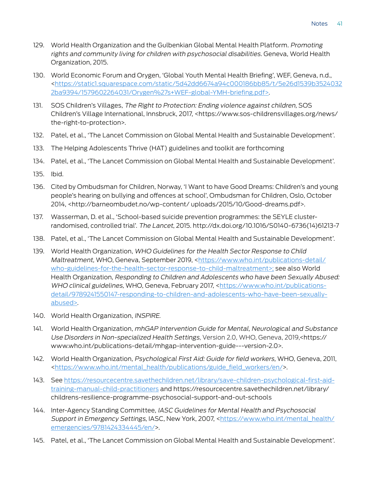- 129. World Health Organization and the Gulbenkian Global Mental Health Platform. Promoting rights and community living for children with psychosocial disabilities. Geneva, World Health Organization, 2015.
- 130. World Economic Forum and Orygen, 'Global Youth Mental Health Briefing', WEF, Geneva, n.d., <https://static1.squarespace.com/static/5d42dd6674a94c000186bb85/t/5e26d1539b3524032 2ba9394/1579602264031/Orygen%27s+WEF-global-YMH-briefing.pdf>.
- 131. SOS Children's Villages, The Right to Protection: Ending violence against children, SOS Children's Village International, Innsbruck, 2017, <https://www.sos-childrensvillages.org/news/ the-right-to-protection>.
- 132. Patel, et al., 'The Lancet Commission on Global Mental Health and Sustainable Development'.
- 133. The Helping Adolescents Thrive (HAT) guidelines and toolkit are forthcoming
- 134. Patel, et al., 'The Lancet Commission on Global Mental Health and Sustainable Development'.
- 135. Ibid.
- 136. Cited by Ombudsman for Children, Norway, 'I Want to have Good Dreams: Children's and young people's hearing on bullying and offences at school', Ombudsman for Children, Oslo, October 2014, <http://barneombudet.no/wp-content/ uploads/2015/10/Good-dreams.pdf>.
- 137. Wasserman, D. et al., 'School-based suicide prevention programmes: the SEYLE clusterrandomised, controlled trial'. The Lancet, 2015. http://dx.doi.org/10.1016/S0140-6736(14)61213-7
- 138. Patel, et al., 'The Lancet Commission on Global Mental Health and Sustainable Development'.
- 139. World Health Organization, WHO Guidelines for the Health Sector Response to Child Maltreatment, WHO, Geneva, September 2019, <https://www.who.int/publications-detail/ who-guidelines-for-the-health-sector-response-to-child-maltreatment>; see also World Health Organization, Responding to Children and Adolescents who have been Sexually Abused: WHO clinical guidelines, WHO, Geneva, February 2017, <https://www.who.int/publicationsdetail/9789241550147-responding-to-children-and-adolescents-who-have-been-sexuallyabused>.
- 140. World Health Organization, INSPIRE.
- 141. World Health Organization, mhGAP Intervention Guide for Mental, Neurological and Substance Use Disorders in Non-specialized Health Settings, Version 2.0, WHO, Geneva, 2019,<https:// www.who.int/publications-detail/mhgap-intervention-guide---version-2.0>.
- 142. World Health Organization, Psychological First Aid: Guide for field workers, WHO, Geneva, 2011, <https://www.who.int/mental\_health/publications/guide\_field\_workers/en/>.
- 143. See https://resourcecentre.savethechildren.net/library/save-children-psychological-first-aidtraining-manual-child-practitioners and https://resourcecentre.savethechildren.net/library/ childrens-resilience-programme-psychosocial-support-and-out-schools
- 144. Inter-Agency Standing Committee, IASC Guidelines for Mental Health and Psychosocial Support in Emergency Settings, IASC, New York, 2007, <https://www.who.int/mental\_health/ emergencies/9781424334445/en/>.
- 145. Patel, et al., 'The Lancet Commission on Global Mental Health and Sustainable Development'.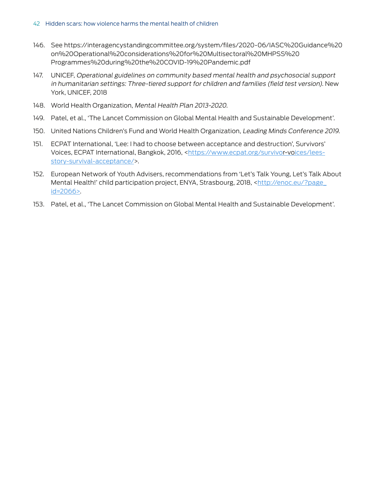- 146. See https://interagencystandingcommittee.org/system/files/2020-06/IASC%20Guidance%20 on%20Operational%20considerations%20for%20Multisectoral%20MHPSS%20 Programmes%20during%20the%20COVID-19%20Pandemic.pdf
- 147. UNICEF, Operational guidelines on community based mental health and psychosocial support in humanitarian settings: Three-tiered support for children and families (field test version). New York, UNICEF, 2018
- 148. World Health Organization, Mental Health Plan 2013-2020.
- 149. Patel, et al., 'The Lancet Commission on Global Mental Health and Sustainable Development'.
- 150. United Nations Children's Fund and World Health Organization, Leading Minds Conference 2019.
- 151. ECPAT International, 'Lee: I had to choose between acceptance and destruction', Survivors' Voices, ECPAT International, Bangkok, 2016, <https://www.ecpat.org/survivor-voices/leesstory-survival-acceptance/>.
- 152. European Network of Youth Advisers, recommendations from 'Let's Talk Young, Let's Talk About Mental Health!' child participation project, ENYA, Strasbourg, 2018, <http://enoc.eu/?page\_ id=2066>.
- 153. Patel, et al., 'The Lancet Commission on Global Mental Health and Sustainable Development'.